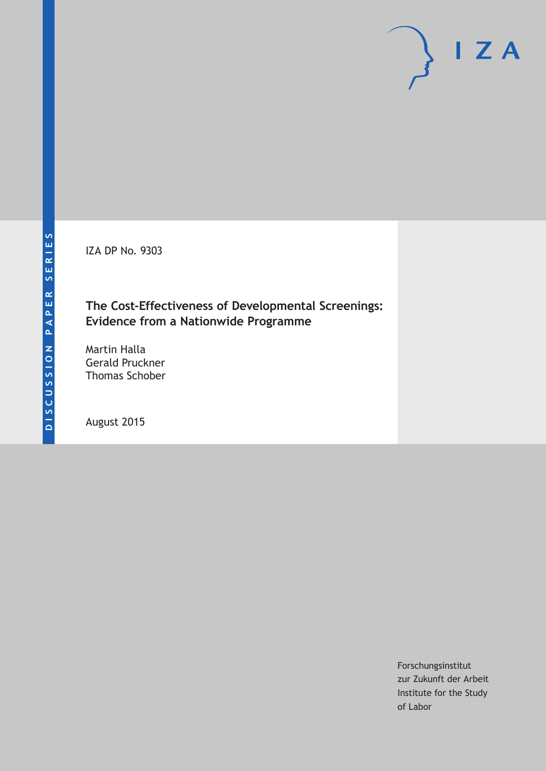IZA DP No. 9303

## **The Cost-Effectiveness of Developmental Screenings: Evidence from a Nationwide Programme**

Martin Halla Gerald Pruckner Thomas Schober

August 2015

Forschungsinstitut zur Zukunft der Arbeit Institute for the Study of Labor

 $I Z A$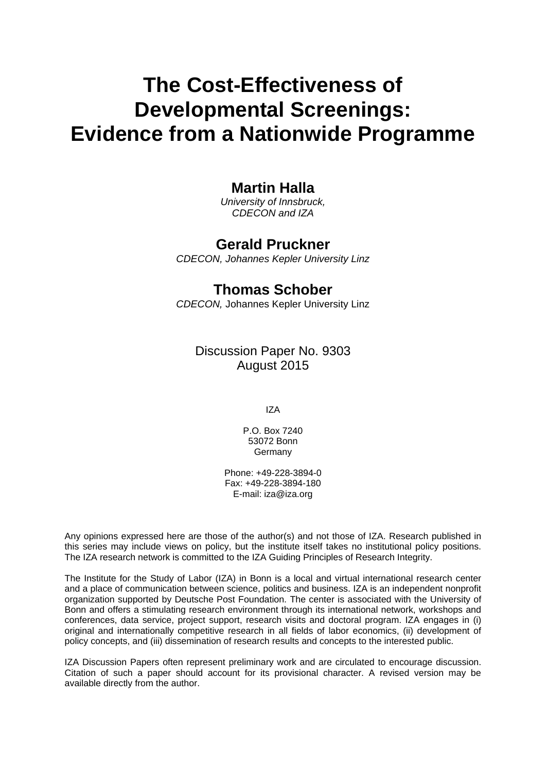# **The Cost-Effectiveness of Developmental Screenings: Evidence from a Nationwide Programme**

# **Martin Halla**

*University of Innsbruck, CDECON and IZA* 

## **Gerald Pruckner**

*CDECON, Johannes Kepler University Linz* 

## **Thomas Schober**

*CDECON,* Johannes Kepler University Linz

Discussion Paper No. 9303 August 2015

IZA

P.O. Box 7240 53072 Bonn Germany

Phone: +49-228-3894-0 Fax: +49-228-3894-180 E-mail: iza@iza.org

Any opinions expressed here are those of the author(s) and not those of IZA. Research published in this series may include views on policy, but the institute itself takes no institutional policy positions. The IZA research network is committed to the IZA Guiding Principles of Research Integrity.

The Institute for the Study of Labor (IZA) in Bonn is a local and virtual international research center and a place of communication between science, politics and business. IZA is an independent nonprofit organization supported by Deutsche Post Foundation. The center is associated with the University of Bonn and offers a stimulating research environment through its international network, workshops and conferences, data service, project support, research visits and doctoral program. IZA engages in (i) original and internationally competitive research in all fields of labor economics, (ii) development of policy concepts, and (iii) dissemination of research results and concepts to the interested public.

IZA Discussion Papers often represent preliminary work and are circulated to encourage discussion. Citation of such a paper should account for its provisional character. A revised version may be available directly from the author.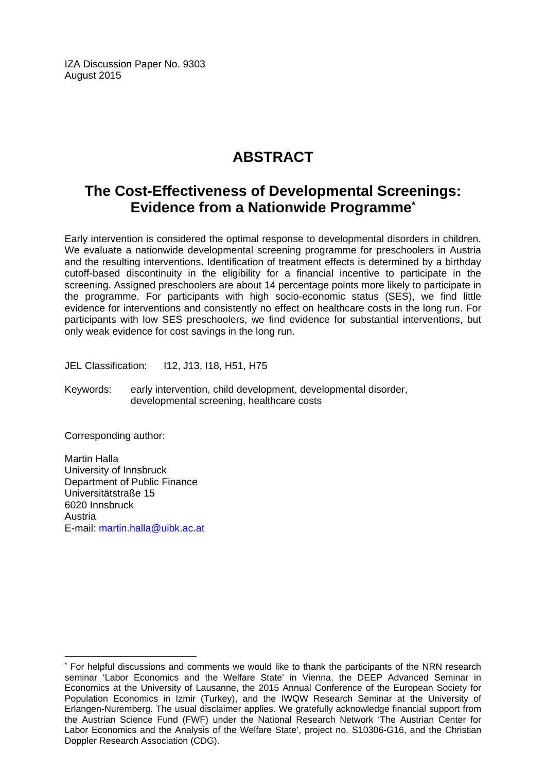IZA Discussion Paper No. 9303 August 2015

# **ABSTRACT**

# **The Cost-Effectiveness of Developmental Screenings: Evidence from a Nationwide Programme\***

Early intervention is considered the optimal response to developmental disorders in children. We evaluate a nationwide developmental screening programme for preschoolers in Austria and the resulting interventions. Identification of treatment effects is determined by a birthday cutoff-based discontinuity in the eligibility for a financial incentive to participate in the screening. Assigned preschoolers are about 14 percentage points more likely to participate in the programme. For participants with high socio-economic status (SES), we find little evidence for interventions and consistently no effect on healthcare costs in the long run. For participants with low SES preschoolers, we find evidence for substantial interventions, but only weak evidence for cost savings in the long run.

JEL Classification: I12, J13, I18, H51, H75

Keywords: early intervention, child development, developmental disorder, developmental screening, healthcare costs

Corresponding author:

 $\overline{\phantom{a}}$ 

Martin Halla University of Innsbruck Department of Public Finance Universitätstraße 15 6020 Innsbruck Austria E-mail: martin.halla@uibk.ac.at

<sup>\*</sup> For helpful discussions and comments we would like to thank the participants of the NRN research seminar 'Labor Economics and the Welfare State' in Vienna, the DEEP Advanced Seminar in Economics at the University of Lausanne, the 2015 Annual Conference of the European Society for Population Economics in Izmir (Turkey), and the IWQW Research Seminar at the University of Erlangen-Nuremberg. The usual disclaimer applies. We gratefully acknowledge financial support from the Austrian Science Fund (FWF) under the National Research Network 'The Austrian Center for Labor Economics and the Analysis of the Welfare State', project no. S10306-G16, and the Christian Doppler Research Association (CDG).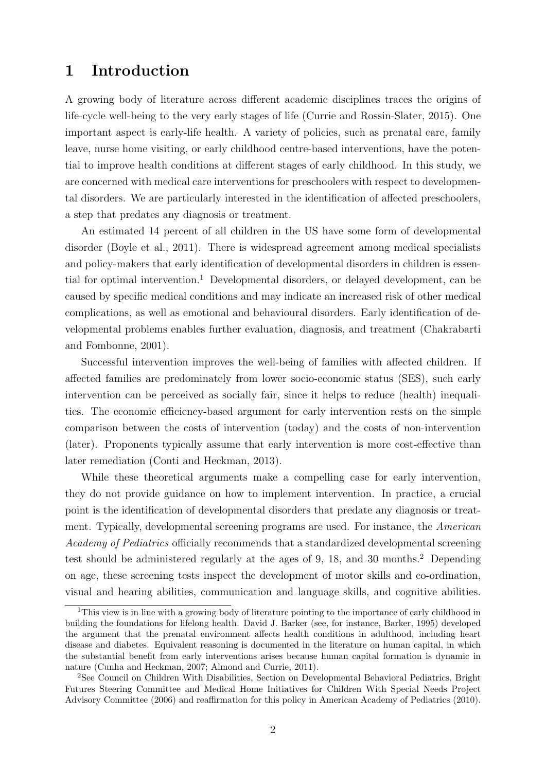### 1 Introduction

A growing body of literature across different academic disciplines traces the origins of life-cycle well-being to the very early stages of life (Currie and Rossin-Slater, 2015). One important aspect is early-life health. A variety of policies, such as prenatal care, family leave, nurse home visiting, or early childhood centre-based interventions, have the potential to improve health conditions at different stages of early childhood. In this study, we are concerned with medical care interventions for preschoolers with respect to developmental disorders. We are particularly interested in the identification of affected preschoolers, a step that predates any diagnosis or treatment.

An estimated 14 percent of all children in the US have some form of developmental disorder (Boyle et al., 2011). There is widespread agreement among medical specialists and policy-makers that early identification of developmental disorders in children is essential for optimal intervention.<sup>1</sup> Developmental disorders, or delayed development, can be caused by specific medical conditions and may indicate an increased risk of other medical complications, as well as emotional and behavioural disorders. Early identification of developmental problems enables further evaluation, diagnosis, and treatment (Chakrabarti and Fombonne, 2001).

Successful intervention improves the well-being of families with affected children. If affected families are predominately from lower socio-economic status (SES), such early intervention can be perceived as socially fair, since it helps to reduce (health) inequalities. The economic efficiency-based argument for early intervention rests on the simple comparison between the costs of intervention (today) and the costs of non-intervention (later). Proponents typically assume that early intervention is more cost-effective than later remediation (Conti and Heckman, 2013).

While these theoretical arguments make a compelling case for early intervention, they do not provide guidance on how to implement intervention. In practice, a crucial point is the identification of developmental disorders that predate any diagnosis or treatment. Typically, developmental screening programs are used. For instance, the American Academy of Pediatrics officially recommends that a standardized developmental screening test should be administered regularly at the ages of 9, 18, and 30 months. $2$  Depending on age, these screening tests inspect the development of motor skills and co-ordination, visual and hearing abilities, communication and language skills, and cognitive abilities.

<sup>&</sup>lt;sup>1</sup>This view is in line with a growing body of literature pointing to the importance of early childhood in building the foundations for lifelong health. David J. Barker (see, for instance, Barker, 1995) developed the argument that the prenatal environment affects health conditions in adulthood, including heart disease and diabetes. Equivalent reasoning is documented in the literature on human capital, in which the substantial benefit from early interventions arises because human capital formation is dynamic in nature (Cunha and Heckman, 2007; Almond and Currie, 2011).

<sup>2</sup>See Council on Children With Disabilities, Section on Developmental Behavioral Pediatrics, Bright Futures Steering Committee and Medical Home Initiatives for Children With Special Needs Project Advisory Committee (2006) and reaffirmation for this policy in American Academy of Pediatrics (2010).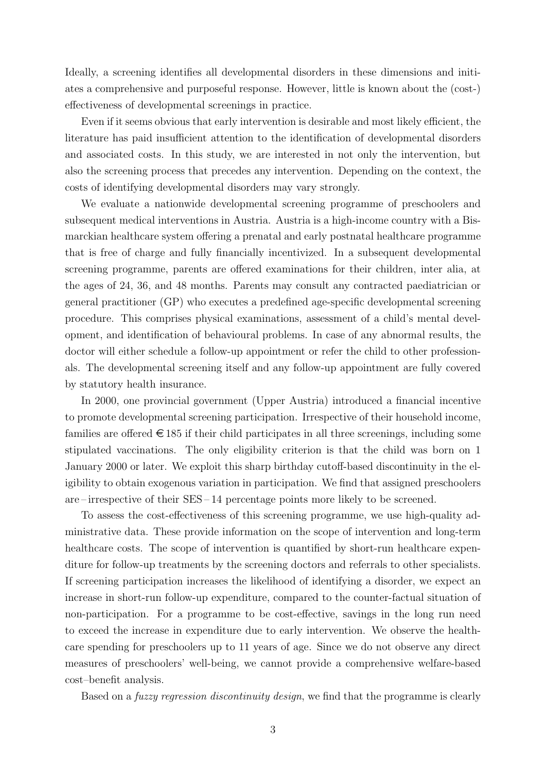Ideally, a screening identifies all developmental disorders in these dimensions and initiates a comprehensive and purposeful response. However, little is known about the (cost-) effectiveness of developmental screenings in practice.

Even if it seems obvious that early intervention is desirable and most likely efficient, the literature has paid insufficient attention to the identification of developmental disorders and associated costs. In this study, we are interested in not only the intervention, but also the screening process that precedes any intervention. Depending on the context, the costs of identifying developmental disorders may vary strongly.

We evaluate a nationwide developmental screening programme of preschoolers and subsequent medical interventions in Austria. Austria is a high-income country with a Bismarckian healthcare system offering a prenatal and early postnatal healthcare programme that is free of charge and fully financially incentivized. In a subsequent developmental screening programme, parents are offered examinations for their children, inter alia, at the ages of 24, 36, and 48 months. Parents may consult any contracted paediatrician or general practitioner (GP) who executes a predefined age-specific developmental screening procedure. This comprises physical examinations, assessment of a child's mental development, and identification of behavioural problems. In case of any abnormal results, the doctor will either schedule a follow-up appointment or refer the child to other professionals. The developmental screening itself and any follow-up appointment are fully covered by statutory health insurance.

In 2000, one provincial government (Upper Austria) introduced a financial incentive to promote developmental screening participation. Irrespective of their household income, families are offered  $\in$  185 if their child participates in all three screenings, including some stipulated vaccinations. The only eligibility criterion is that the child was born on 1 January 2000 or later. We exploit this sharp birthday cutoff-based discontinuity in the eligibility to obtain exogenous variation in participation. We find that assigned preschoolers are – irrespective of their SES – 14 percentage points more likely to be screened.

To assess the cost-effectiveness of this screening programme, we use high-quality administrative data. These provide information on the scope of intervention and long-term healthcare costs. The scope of intervention is quantified by short-run healthcare expenditure for follow-up treatments by the screening doctors and referrals to other specialists. If screening participation increases the likelihood of identifying a disorder, we expect an increase in short-run follow-up expenditure, compared to the counter-factual situation of non-participation. For a programme to be cost-effective, savings in the long run need to exceed the increase in expenditure due to early intervention. We observe the healthcare spending for preschoolers up to 11 years of age. Since we do not observe any direct measures of preschoolers' well-being, we cannot provide a comprehensive welfare-based cost–benefit analysis.

Based on a fuzzy regression discontinuity design, we find that the programme is clearly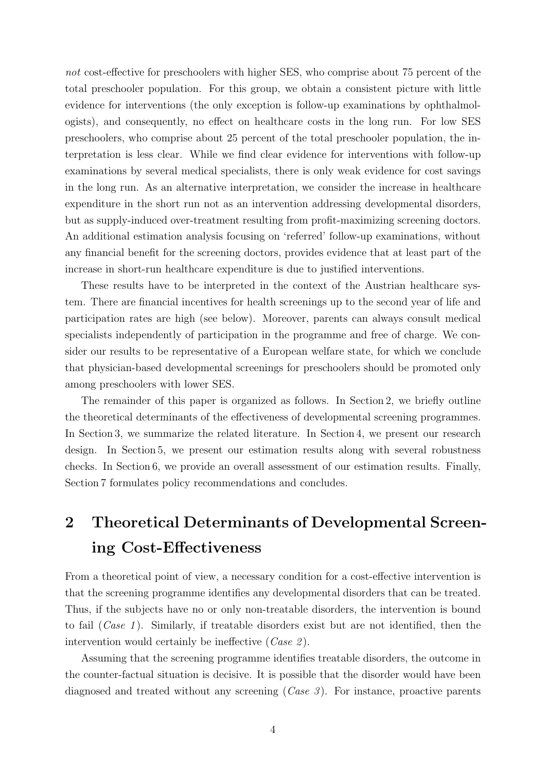not cost-effective for preschoolers with higher SES, who comprise about 75 percent of the total preschooler population. For this group, we obtain a consistent picture with little evidence for interventions (the only exception is follow-up examinations by ophthalmologists), and consequently, no effect on healthcare costs in the long run. For low SES preschoolers, who comprise about 25 percent of the total preschooler population, the interpretation is less clear. While we find clear evidence for interventions with follow-up examinations by several medical specialists, there is only weak evidence for cost savings in the long run. As an alternative interpretation, we consider the increase in healthcare expenditure in the short run not as an intervention addressing developmental disorders, but as supply-induced over-treatment resulting from profit-maximizing screening doctors. An additional estimation analysis focusing on 'referred' follow-up examinations, without any financial benefit for the screening doctors, provides evidence that at least part of the increase in short-run healthcare expenditure is due to justified interventions.

These results have to be interpreted in the context of the Austrian healthcare system. There are financial incentives for health screenings up to the second year of life and participation rates are high (see below). Moreover, parents can always consult medical specialists independently of participation in the programme and free of charge. We consider our results to be representative of a European welfare state, for which we conclude that physician-based developmental screenings for preschoolers should be promoted only among preschoolers with lower SES.

The remainder of this paper is organized as follows. In Section 2, we briefly outline the theoretical determinants of the effectiveness of developmental screening programmes. In Section 3, we summarize the related literature. In Section 4, we present our research design. In Section 5, we present our estimation results along with several robustness checks. In Section 6, we provide an overall assessment of our estimation results. Finally, Section 7 formulates policy recommendations and concludes.

# 2 Theoretical Determinants of Developmental Screening Cost-Effectiveness

From a theoretical point of view, a necessary condition for a cost-effective intervention is that the screening programme identifies any developmental disorders that can be treated. Thus, if the subjects have no or only non-treatable disorders, the intervention is bound to fail  $(Case 1)$ . Similarly, if treatable disorders exist but are not identified, then the intervention would certainly be ineffective  $(Case 2)$ .

Assuming that the screening programme identifies treatable disorders, the outcome in the counter-factual situation is decisive. It is possible that the disorder would have been diagnosed and treated without any screening  $(Case 3)$ . For instance, proactive parents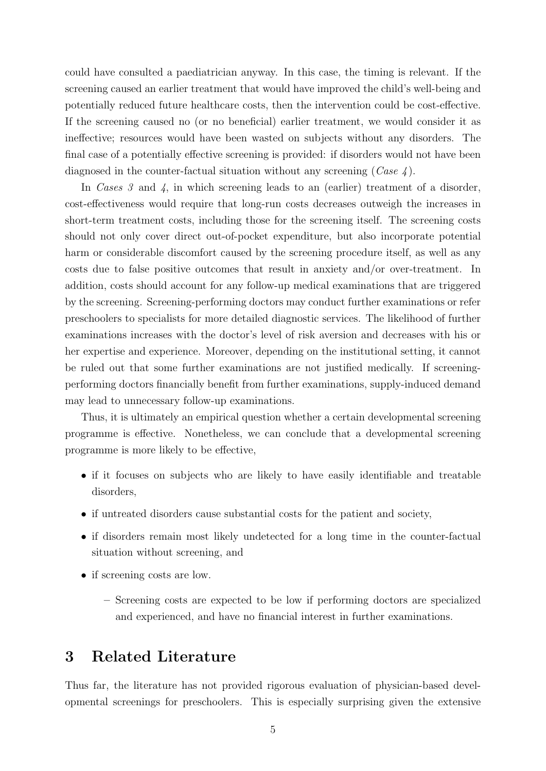could have consulted a paediatrician anyway. In this case, the timing is relevant. If the screening caused an earlier treatment that would have improved the child's well-being and potentially reduced future healthcare costs, then the intervention could be cost-effective. If the screening caused no (or no beneficial) earlier treatment, we would consider it as ineffective; resources would have been wasted on subjects without any disorders. The final case of a potentially effective screening is provided: if disorders would not have been diagnosed in the counter-factual situation without any screening  $(Case 4)$ .

In Cases 3 and 4, in which screening leads to an (earlier) treatment of a disorder, cost-effectiveness would require that long-run costs decreases outweigh the increases in short-term treatment costs, including those for the screening itself. The screening costs should not only cover direct out-of-pocket expenditure, but also incorporate potential harm or considerable discomfort caused by the screening procedure itself, as well as any costs due to false positive outcomes that result in anxiety and/or over-treatment. In addition, costs should account for any follow-up medical examinations that are triggered by the screening. Screening-performing doctors may conduct further examinations or refer preschoolers to specialists for more detailed diagnostic services. The likelihood of further examinations increases with the doctor's level of risk aversion and decreases with his or her expertise and experience. Moreover, depending on the institutional setting, it cannot be ruled out that some further examinations are not justified medically. If screeningperforming doctors financially benefit from further examinations, supply-induced demand may lead to unnecessary follow-up examinations.

Thus, it is ultimately an empirical question whether a certain developmental screening programme is effective. Nonetheless, we can conclude that a developmental screening programme is more likely to be effective,

- if it focuses on subjects who are likely to have easily identifiable and treatable disorders,
- if untreated disorders cause substantial costs for the patient and society,
- if disorders remain most likely undetected for a long time in the counter-factual situation without screening, and
- if screening costs are low.
	- Screening costs are expected to be low if performing doctors are specialized and experienced, and have no financial interest in further examinations.

## 3 Related Literature

Thus far, the literature has not provided rigorous evaluation of physician-based developmental screenings for preschoolers. This is especially surprising given the extensive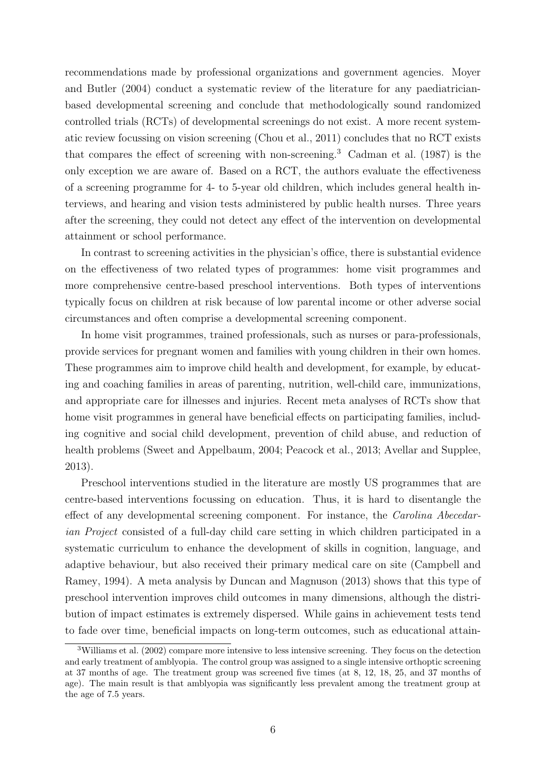recommendations made by professional organizations and government agencies. Moyer and Butler (2004) conduct a systematic review of the literature for any paediatricianbased developmental screening and conclude that methodologically sound randomized controlled trials (RCTs) of developmental screenings do not exist. A more recent systematic review focussing on vision screening (Chou et al., 2011) concludes that no RCT exists that compares the effect of screening with non-screening.<sup>3</sup> Cadman et al. (1987) is the only exception we are aware of. Based on a RCT, the authors evaluate the effectiveness of a screening programme for 4- to 5-year old children, which includes general health interviews, and hearing and vision tests administered by public health nurses. Three years after the screening, they could not detect any effect of the intervention on developmental attainment or school performance.

In contrast to screening activities in the physician's office, there is substantial evidence on the effectiveness of two related types of programmes: home visit programmes and more comprehensive centre-based preschool interventions. Both types of interventions typically focus on children at risk because of low parental income or other adverse social circumstances and often comprise a developmental screening component.

In home visit programmes, trained professionals, such as nurses or para-professionals, provide services for pregnant women and families with young children in their own homes. These programmes aim to improve child health and development, for example, by educating and coaching families in areas of parenting, nutrition, well-child care, immunizations, and appropriate care for illnesses and injuries. Recent meta analyses of RCTs show that home visit programmes in general have beneficial effects on participating families, including cognitive and social child development, prevention of child abuse, and reduction of health problems (Sweet and Appelbaum, 2004; Peacock et al., 2013; Avellar and Supplee, 2013).

Preschool interventions studied in the literature are mostly US programmes that are centre-based interventions focussing on education. Thus, it is hard to disentangle the effect of any developmental screening component. For instance, the Carolina Abecedarian Project consisted of a full-day child care setting in which children participated in a systematic curriculum to enhance the development of skills in cognition, language, and adaptive behaviour, but also received their primary medical care on site (Campbell and Ramey, 1994). A meta analysis by Duncan and Magnuson (2013) shows that this type of preschool intervention improves child outcomes in many dimensions, although the distribution of impact estimates is extremely dispersed. While gains in achievement tests tend to fade over time, beneficial impacts on long-term outcomes, such as educational attain-

<sup>3</sup>Williams et al. (2002) compare more intensive to less intensive screening. They focus on the detection and early treatment of amblyopia. The control group was assigned to a single intensive orthoptic screening at 37 months of age. The treatment group was screened five times (at 8, 12, 18, 25, and 37 months of age). The main result is that amblyopia was significantly less prevalent among the treatment group at the age of 7.5 years.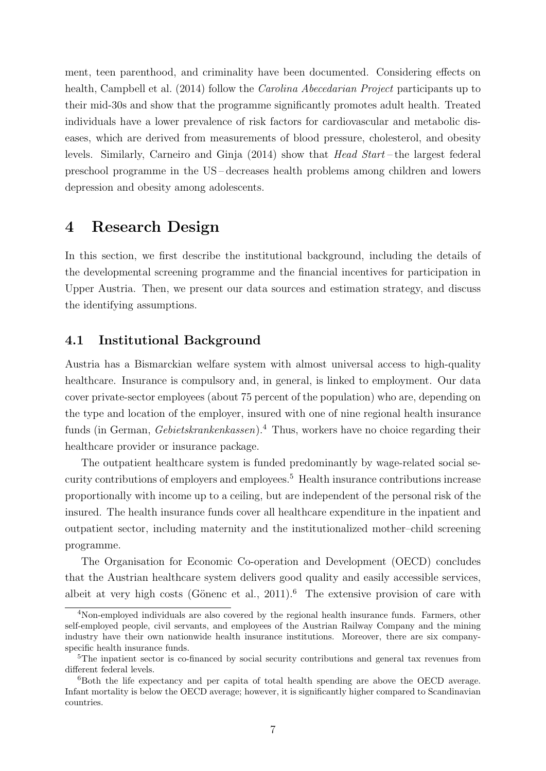ment, teen parenthood, and criminality have been documented. Considering effects on health, Campbell et al. (2014) follow the Carolina Abecedarian Project participants up to their mid-30s and show that the programme significantly promotes adult health. Treated individuals have a lower prevalence of risk factors for cardiovascular and metabolic diseases, which are derived from measurements of blood pressure, cholesterol, and obesity levels. Similarly, Carneiro and Ginja (2014) show that Head Start – the largest federal preschool programme in the US – decreases health problems among children and lowers depression and obesity among adolescents.

### 4 Research Design

In this section, we first describe the institutional background, including the details of the developmental screening programme and the financial incentives for participation in Upper Austria. Then, we present our data sources and estimation strategy, and discuss the identifying assumptions.

#### 4.1 Institutional Background

Austria has a Bismarckian welfare system with almost universal access to high-quality healthcare. Insurance is compulsory and, in general, is linked to employment. Our data cover private-sector employees (about 75 percent of the population) who are, depending on the type and location of the employer, insured with one of nine regional health insurance funds (in German, *Gebietskrankenkassen*).<sup>4</sup> Thus, workers have no choice regarding their healthcare provider or insurance package.

The outpatient healthcare system is funded predominantly by wage-related social security contributions of employers and employees.<sup>5</sup> Health insurance contributions increase proportionally with income up to a ceiling, but are independent of the personal risk of the insured. The health insurance funds cover all healthcare expenditure in the inpatient and outpatient sector, including maternity and the institutionalized mother–child screening programme.

The Organisation for Economic Co-operation and Development (OECD) concludes that the Austrian healthcare system delivers good quality and easily accessible services, albeit at very high costs (Gönenc et al., 2011).<sup>6</sup> The extensive provision of care with

<sup>4</sup>Non-employed individuals are also covered by the regional health insurance funds. Farmers, other self-employed people, civil servants, and employees of the Austrian Railway Company and the mining industry have their own nationwide health insurance institutions. Moreover, there are six companyspecific health insurance funds.

<sup>&</sup>lt;sup>5</sup>The inpatient sector is co-financed by social security contributions and general tax revenues from different federal levels.

<sup>&</sup>lt;sup>6</sup>Both the life expectancy and per capita of total health spending are above the OECD average. Infant mortality is below the OECD average; however, it is significantly higher compared to Scandinavian countries.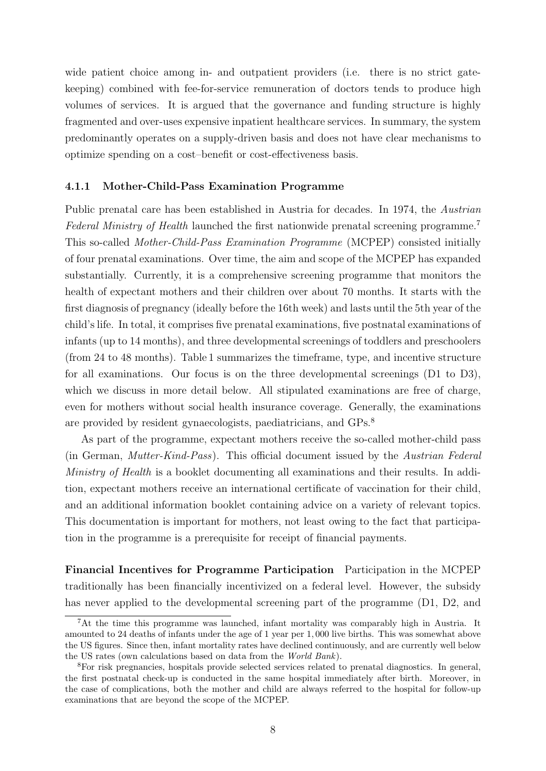wide patient choice among in- and outpatient providers (i.e. there is no strict gatekeeping) combined with fee-for-service remuneration of doctors tends to produce high volumes of services. It is argued that the governance and funding structure is highly fragmented and over-uses expensive inpatient healthcare services. In summary, the system predominantly operates on a supply-driven basis and does not have clear mechanisms to optimize spending on a cost–benefit or cost-effectiveness basis.

#### 4.1.1 Mother-Child-Pass Examination Programme

Public prenatal care has been established in Austria for decades. In 1974, the Austrian Federal Ministry of Health launched the first nationwide prenatal screening programme.<sup>7</sup> This so-called Mother-Child-Pass Examination Programme (MCPEP) consisted initially of four prenatal examinations. Over time, the aim and scope of the MCPEP has expanded substantially. Currently, it is a comprehensive screening programme that monitors the health of expectant mothers and their children over about 70 months. It starts with the first diagnosis of pregnancy (ideally before the 16th week) and lasts until the 5th year of the child's life. In total, it comprises five prenatal examinations, five postnatal examinations of infants (up to 14 months), and three developmental screenings of toddlers and preschoolers (from 24 to 48 months). Table 1 summarizes the timeframe, type, and incentive structure for all examinations. Our focus is on the three developmental screenings (D1 to D3), which we discuss in more detail below. All stipulated examinations are free of charge, even for mothers without social health insurance coverage. Generally, the examinations are provided by resident gynaecologists, paediatricians, and GPs.<sup>8</sup>

As part of the programme, expectant mothers receive the so-called mother-child pass (in German, Mutter-Kind-Pass). This official document issued by the Austrian Federal Ministry of Health is a booklet documenting all examinations and their results. In addition, expectant mothers receive an international certificate of vaccination for their child, and an additional information booklet containing advice on a variety of relevant topics. This documentation is important for mothers, not least owing to the fact that participation in the programme is a prerequisite for receipt of financial payments.

Financial Incentives for Programme Participation Participation in the MCPEP traditionally has been financially incentivized on a federal level. However, the subsidy has never applied to the developmental screening part of the programme (D1, D2, and

<sup>7</sup>At the time this programme was launched, infant mortality was comparably high in Austria. It amounted to 24 deaths of infants under the age of 1 year per 1, 000 live births. This was somewhat above the US figures. Since then, infant mortality rates have declined continuously, and are currently well below the US rates (own calculations based on data from the World Bank).

<sup>8</sup>For risk pregnancies, hospitals provide selected services related to prenatal diagnostics. In general, the first postnatal check-up is conducted in the same hospital immediately after birth. Moreover, in the case of complications, both the mother and child are always referred to the hospital for follow-up examinations that are beyond the scope of the MCPEP.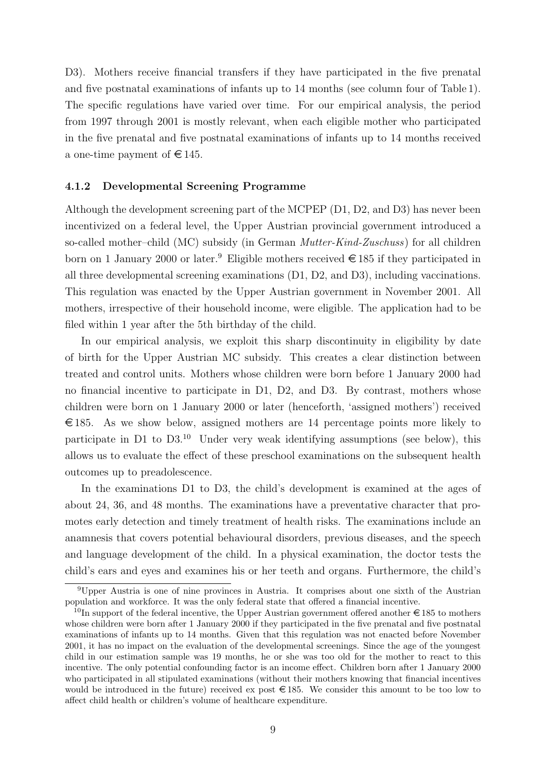D3). Mothers receive financial transfers if they have participated in the five prenatal and five postnatal examinations of infants up to 14 months (see column four of Table 1). The specific regulations have varied over time. For our empirical analysis, the period from 1997 through 2001 is mostly relevant, when each eligible mother who participated in the five prenatal and five postnatal examinations of infants up to 14 months received a one-time payment of  $\in$  145.

#### 4.1.2 Developmental Screening Programme

Although the development screening part of the MCPEP (D1, D2, and D3) has never been incentivized on a federal level, the Upper Austrian provincial government introduced a so-called mother–child (MC) subsidy (in German Mutter-Kind-Zuschuss) for all children born on 1 January 2000 or later.<sup>9</sup> Eligible mothers received  $\in$  185 if they participated in all three developmental screening examinations (D1, D2, and D3), including vaccinations. This regulation was enacted by the Upper Austrian government in November 2001. All mothers, irrespective of their household income, were eligible. The application had to be filed within 1 year after the 5th birthday of the child.

In our empirical analysis, we exploit this sharp discontinuity in eligibility by date of birth for the Upper Austrian MC subsidy. This creates a clear distinction between treated and control units. Mothers whose children were born before 1 January 2000 had no financial incentive to participate in D1, D2, and D3. By contrast, mothers whose children were born on 1 January 2000 or later (henceforth, 'assigned mothers') received  $\epsilon$  185. As we show below, assigned mothers are 14 percentage points more likely to participate in D1 to  $D3<sup>10</sup>$  Under very weak identifying assumptions (see below), this allows us to evaluate the effect of these preschool examinations on the subsequent health outcomes up to preadolescence.

In the examinations D1 to D3, the child's development is examined at the ages of about 24, 36, and 48 months. The examinations have a preventative character that promotes early detection and timely treatment of health risks. The examinations include an anamnesis that covers potential behavioural disorders, previous diseases, and the speech and language development of the child. In a physical examination, the doctor tests the child's ears and eyes and examines his or her teeth and organs. Furthermore, the child's

<sup>9</sup>Upper Austria is one of nine provinces in Austria. It comprises about one sixth of the Austrian population and workforce. It was the only federal state that offered a financial incentive.

<sup>&</sup>lt;sup>10</sup>In support of the federal incentive, the Upper Austrian government offered another  $\epsilon$  185 to mothers whose children were born after 1 January 2000 if they participated in the five prenatal and five postnatal examinations of infants up to 14 months. Given that this regulation was not enacted before November 2001, it has no impact on the evaluation of the developmental screenings. Since the age of the youngest child in our estimation sample was 19 months, he or she was too old for the mother to react to this incentive. The only potential confounding factor is an income effect. Children born after 1 January 2000 who participated in all stipulated examinations (without their mothers knowing that financial incentives would be introduced in the future) received ex post  $\in$  185. We consider this amount to be too low to affect child health or children's volume of healthcare expenditure.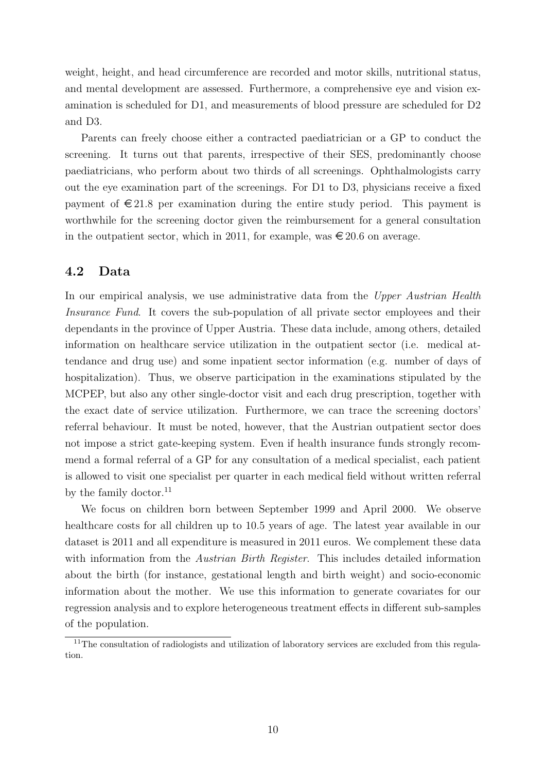weight, height, and head circumference are recorded and motor skills, nutritional status, and mental development are assessed. Furthermore, a comprehensive eye and vision examination is scheduled for D1, and measurements of blood pressure are scheduled for D2 and D3.

Parents can freely choose either a contracted paediatrician or a GP to conduct the screening. It turns out that parents, irrespective of their SES, predominantly choose paediatricians, who perform about two thirds of all screenings. Ophthalmologists carry out the eye examination part of the screenings. For D1 to D3, physicians receive a fixed payment of  $\epsilon$  21.8 per examination during the entire study period. This payment is worthwhile for the screening doctor given the reimbursement for a general consultation in the outpatient sector, which in 2011, for example, was  $\epsilon$  20.6 on average.

#### 4.2 Data

In our empirical analysis, we use administrative data from the Upper Austrian Health Insurance Fund. It covers the sub-population of all private sector employees and their dependants in the province of Upper Austria. These data include, among others, detailed information on healthcare service utilization in the outpatient sector (i.e. medical attendance and drug use) and some inpatient sector information (e.g. number of days of hospitalization). Thus, we observe participation in the examinations stipulated by the MCPEP, but also any other single-doctor visit and each drug prescription, together with the exact date of service utilization. Furthermore, we can trace the screening doctors' referral behaviour. It must be noted, however, that the Austrian outpatient sector does not impose a strict gate-keeping system. Even if health insurance funds strongly recommend a formal referral of a GP for any consultation of a medical specialist, each patient is allowed to visit one specialist per quarter in each medical field without written referral by the family doctor. $^{11}$ 

We focus on children born between September 1999 and April 2000. We observe healthcare costs for all children up to 10.5 years of age. The latest year available in our dataset is 2011 and all expenditure is measured in 2011 euros. We complement these data with information from the *Austrian Birth Register*. This includes detailed information about the birth (for instance, gestational length and birth weight) and socio-economic information about the mother. We use this information to generate covariates for our regression analysis and to explore heterogeneous treatment effects in different sub-samples of the population.

<sup>&</sup>lt;sup>11</sup>The consultation of radiologists and utilization of laboratory services are excluded from this regulation.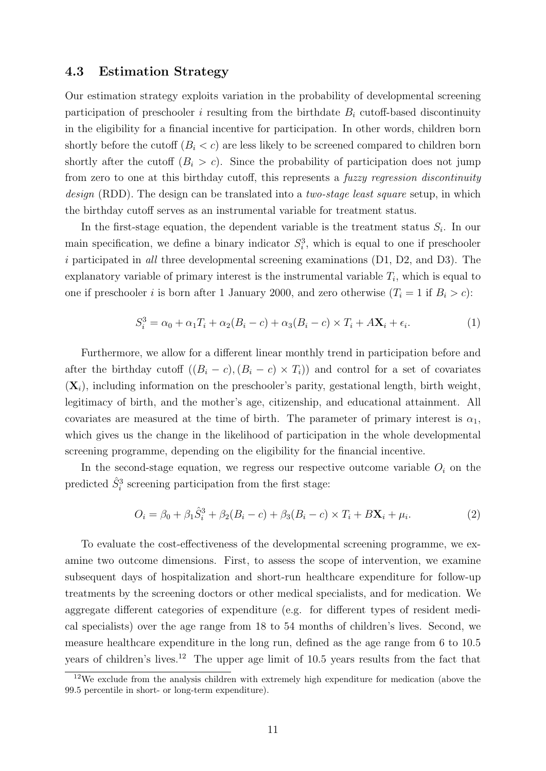#### 4.3 Estimation Strategy

Our estimation strategy exploits variation in the probability of developmental screening participation of preschooler i resulting from the birthdate  $B_i$  cutoff-based discontinuity in the eligibility for a financial incentive for participation. In other words, children born shortly before the cutoff  $(B_i < c)$  are less likely to be screened compared to children born shortly after the cutoff  $(B_i > c)$ . Since the probability of participation does not jump from zero to one at this birthday cutoff, this represents a fuzzy regression discontinuity design (RDD). The design can be translated into a *two-stage least square* setup, in which the birthday cutoff serves as an instrumental variable for treatment status.

In the first-stage equation, the dependent variable is the treatment status  $S_i$ . In our main specification, we define a binary indicator  $S_i^3$ , which is equal to one if preschooler i participated in all three developmental screening examinations (D1, D2, and D3). The explanatory variable of primary interest is the instrumental variable  $T_i$ , which is equal to one if preschooler i is born after 1 January 2000, and zero otherwise  $(T_i = 1$  if  $B_i > c)$ :

$$
S_i^3 = \alpha_0 + \alpha_1 T_i + \alpha_2 (B_i - c) + \alpha_3 (B_i - c) \times T_i + A \mathbf{X}_i + \epsilon_i.
$$
 (1)

Furthermore, we allow for a different linear monthly trend in participation before and after the birthday cutoff  $((B_i - c), (B_i - c) \times T_i)$  and control for a set of covariates  $(X_i)$ , including information on the preschooler's parity, gestational length, birth weight, legitimacy of birth, and the mother's age, citizenship, and educational attainment. All covariates are measured at the time of birth. The parameter of primary interest is  $\alpha_1$ , which gives us the change in the likelihood of participation in the whole developmental screening programme, depending on the eligibility for the financial incentive.

In the second-stage equation, we regress our respective outcome variable  $O_i$  on the predicted  $\hat{S}_i^3$  screening participation from the first stage:

$$
O_i = \beta_0 + \beta_1 \hat{S}_i^3 + \beta_2 (B_i - c) + \beta_3 (B_i - c) \times T_i + B \mathbf{X}_i + \mu_i.
$$
 (2)

To evaluate the cost-effectiveness of the developmental screening programme, we examine two outcome dimensions. First, to assess the scope of intervention, we examine subsequent days of hospitalization and short-run healthcare expenditure for follow-up treatments by the screening doctors or other medical specialists, and for medication. We aggregate different categories of expenditure (e.g. for different types of resident medical specialists) over the age range from 18 to 54 months of children's lives. Second, we measure healthcare expenditure in the long run, defined as the age range from 6 to 10.5 years of children's lives.<sup>12</sup> The upper age limit of 10.5 years results from the fact that

<sup>&</sup>lt;sup>12</sup>We exclude from the analysis children with extremely high expenditure for medication (above the 99.5 percentile in short- or long-term expenditure).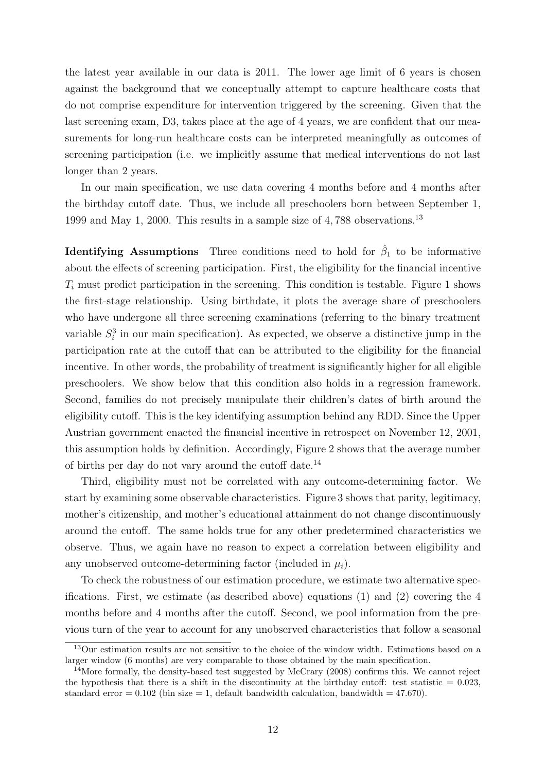the latest year available in our data is 2011. The lower age limit of 6 years is chosen against the background that we conceptually attempt to capture healthcare costs that do not comprise expenditure for intervention triggered by the screening. Given that the last screening exam, D3, takes place at the age of 4 years, we are confident that our measurements for long-run healthcare costs can be interpreted meaningfully as outcomes of screening participation (i.e. we implicitly assume that medical interventions do not last longer than 2 years.

In our main specification, we use data covering 4 months before and 4 months after the birthday cutoff date. Thus, we include all preschoolers born between September 1, 1999 and May 1, 2000. This results in a sample size of 4, 788 observations.<sup>13</sup>

**Identifying Assumptions** Three conditions need to hold for  $\hat{\beta}_1$  to be informative about the effects of screening participation. First, the eligibility for the financial incentive  $T_i$  must predict participation in the screening. This condition is testable. Figure 1 shows the first-stage relationship. Using birthdate, it plots the average share of preschoolers who have undergone all three screening examinations (referring to the binary treatment variable  $S_i^3$  in our main specification). As expected, we observe a distinctive jump in the participation rate at the cutoff that can be attributed to the eligibility for the financial incentive. In other words, the probability of treatment is significantly higher for all eligible preschoolers. We show below that this condition also holds in a regression framework. Second, families do not precisely manipulate their children's dates of birth around the eligibility cutoff. This is the key identifying assumption behind any RDD. Since the Upper Austrian government enacted the financial incentive in retrospect on November 12, 2001, this assumption holds by definition. Accordingly, Figure 2 shows that the average number of births per day do not vary around the cutoff date.<sup>14</sup>

Third, eligibility must not be correlated with any outcome-determining factor. We start by examining some observable characteristics. Figure 3 shows that parity, legitimacy, mother's citizenship, and mother's educational attainment do not change discontinuously around the cutoff. The same holds true for any other predetermined characteristics we observe. Thus, we again have no reason to expect a correlation between eligibility and any unobserved outcome-determining factor (included in  $\mu_i$ ).

To check the robustness of our estimation procedure, we estimate two alternative specifications. First, we estimate (as described above) equations (1) and (2) covering the 4 months before and 4 months after the cutoff. Second, we pool information from the previous turn of the year to account for any unobserved characteristics that follow a seasonal

<sup>&</sup>lt;sup>13</sup>Our estimation results are not sensitive to the choice of the window width. Estimations based on a larger window (6 months) are very comparable to those obtained by the main specification.

<sup>&</sup>lt;sup>14</sup>More formally, the density-based test suggested by McCrary (2008) confirms this. We cannot reject the hypothesis that there is a shift in the discontinuity at the birthday cutoff: test statistic  $= 0.023$ , standard error  $= 0.102$  (bin size  $= 1$ , default bandwidth calculation, bandwidth  $= 47.670$ ).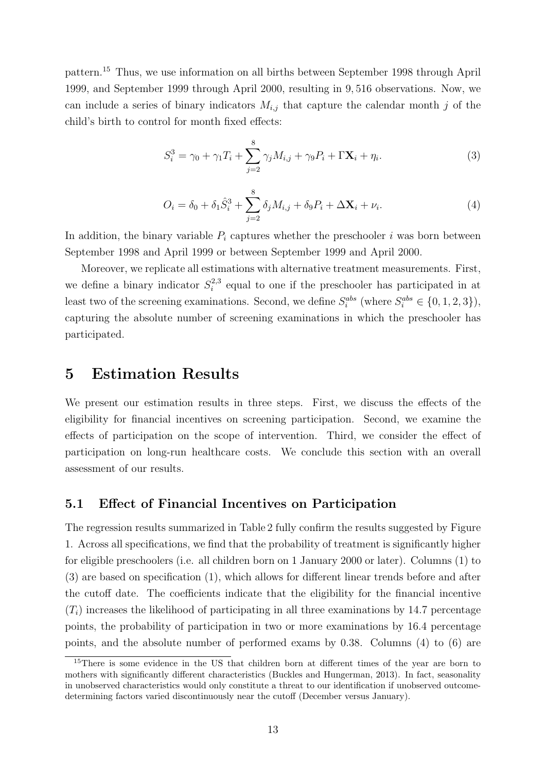pattern.<sup>15</sup> Thus, we use information on all births between September 1998 through April 1999, and September 1999 through April 2000, resulting in 9, 516 observations. Now, we can include a series of binary indicators  $M_{i,j}$  that capture the calendar month j of the child's birth to control for month fixed effects:

$$
S_i^3 = \gamma_0 + \gamma_1 T_i + \sum_{j=2}^8 \gamma_j M_{i,j} + \gamma_9 P_i + \Gamma \mathbf{X}_i + \eta_i.
$$
 (3)

$$
O_i = \delta_0 + \delta_1 \hat{S}_i^3 + \sum_{j=2}^8 \delta_j M_{i,j} + \delta_9 P_i + \Delta \mathbf{X}_i + \nu_i.
$$
 (4)

In addition, the binary variable  $P_i$  captures whether the preschooler i was born between September 1998 and April 1999 or between September 1999 and April 2000.

Moreover, we replicate all estimations with alternative treatment measurements. First, we define a binary indicator  $S_i^{2,3}$  $i^{2,3}$  equal to one if the preschooler has participated in at least two of the screening examinations. Second, we define  $S_i^{abs}$  (where  $S_i^{abs} \in \{0, 1, 2, 3\}$ ), capturing the absolute number of screening examinations in which the preschooler has participated.

### 5 Estimation Results

We present our estimation results in three steps. First, we discuss the effects of the eligibility for financial incentives on screening participation. Second, we examine the effects of participation on the scope of intervention. Third, we consider the effect of participation on long-run healthcare costs. We conclude this section with an overall assessment of our results.

#### 5.1 Effect of Financial Incentives on Participation

The regression results summarized in Table 2 fully confirm the results suggested by Figure 1. Across all specifications, we find that the probability of treatment is significantly higher for eligible preschoolers (i.e. all children born on 1 January 2000 or later). Columns (1) to (3) are based on specification (1), which allows for different linear trends before and after the cutoff date. The coefficients indicate that the eligibility for the financial incentive  $(T<sub>i</sub>)$  increases the likelihood of participating in all three examinations by 14.7 percentage points, the probability of participation in two or more examinations by 16.4 percentage points, and the absolute number of performed exams by 0.38. Columns (4) to (6) are

<sup>&</sup>lt;sup>15</sup>There is some evidence in the US that children born at different times of the year are born to mothers with significantly different characteristics (Buckles and Hungerman, 2013). In fact, seasonality in unobserved characteristics would only constitute a threat to our identification if unobserved outcomedetermining factors varied discontinuously near the cutoff (December versus January).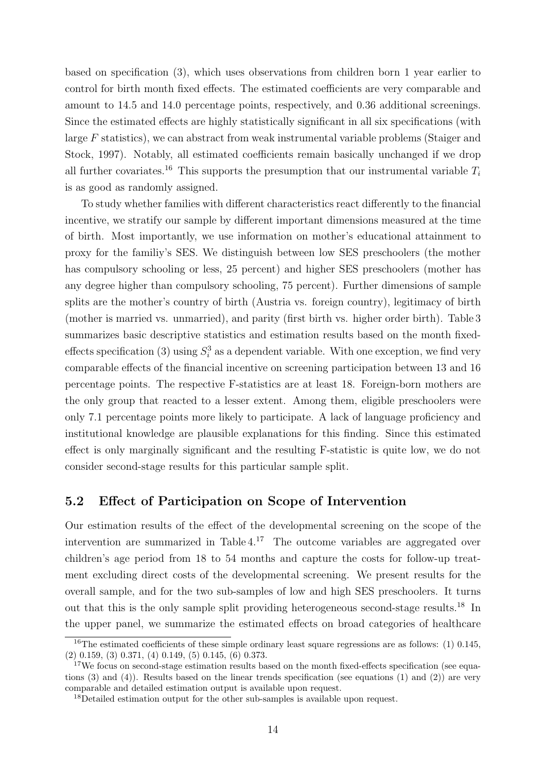based on specification (3), which uses observations from children born 1 year earlier to control for birth month fixed effects. The estimated coefficients are very comparable and amount to 14.5 and 14.0 percentage points, respectively, and 0.36 additional screenings. Since the estimated effects are highly statistically significant in all six specifications (with large F statistics), we can abstract from weak instrumental variable problems (Staiger and Stock, 1997). Notably, all estimated coefficients remain basically unchanged if we drop all further covariates.<sup>16</sup> This supports the presumption that our instrumental variable  $T_i$ is as good as randomly assigned.

To study whether families with different characteristics react differently to the financial incentive, we stratify our sample by different important dimensions measured at the time of birth. Most importantly, we use information on mother's educational attainment to proxy for the familiy's SES. We distinguish between low SES preschoolers (the mother has compulsory schooling or less, 25 percent) and higher SES preschoolers (mother has any degree higher than compulsory schooling, 75 percent). Further dimensions of sample splits are the mother's country of birth (Austria vs. foreign country), legitimacy of birth (mother is married vs. unmarried), and parity (first birth vs. higher order birth). Table 3 summarizes basic descriptive statistics and estimation results based on the month fixedeffects specification (3) using  $S_i^3$  as a dependent variable. With one exception, we find very comparable effects of the financial incentive on screening participation between 13 and 16 percentage points. The respective F-statistics are at least 18. Foreign-born mothers are the only group that reacted to a lesser extent. Among them, eligible preschoolers were only 7.1 percentage points more likely to participate. A lack of language proficiency and institutional knowledge are plausible explanations for this finding. Since this estimated effect is only marginally significant and the resulting F-statistic is quite low, we do not consider second-stage results for this particular sample split.

#### 5.2 Effect of Participation on Scope of Intervention

Our estimation results of the effect of the developmental screening on the scope of the intervention are summarized in Table 4.<sup>17</sup> The outcome variables are aggregated over children's age period from 18 to 54 months and capture the costs for follow-up treatment excluding direct costs of the developmental screening. We present results for the overall sample, and for the two sub-samples of low and high SES preschoolers. It turns out that this is the only sample split providing heterogeneous second-stage results.<sup>18</sup> In the upper panel, we summarize the estimated effects on broad categories of healthcare

<sup>&</sup>lt;sup>16</sup>The estimated coefficients of these simple ordinary least square regressions are as follows: (1) 0.145, (2) 0.159, (3) 0.371, (4) 0.149, (5) 0.145, (6) 0.373.

<sup>&</sup>lt;sup>17</sup>We focus on second-stage estimation results based on the month fixed-effects specification (see equations  $(3)$  and  $(4)$ ). Results based on the linear trends specification (see equations  $(1)$  and  $(2)$ ) are very comparable and detailed estimation output is available upon request.

<sup>18</sup>Detailed estimation output for the other sub-samples is available upon request.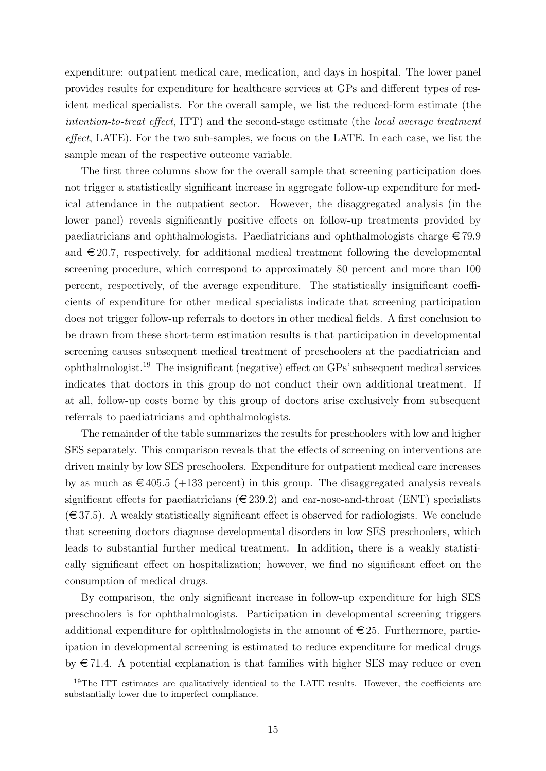expenditure: outpatient medical care, medication, and days in hospital. The lower panel provides results for expenditure for healthcare services at GPs and different types of resident medical specialists. For the overall sample, we list the reduced-form estimate (the intention-to-treat effect, ITT) and the second-stage estimate (the local average treatment effect, LATE). For the two sub-samples, we focus on the LATE. In each case, we list the sample mean of the respective outcome variable.

The first three columns show for the overall sample that screening participation does not trigger a statistically significant increase in aggregate follow-up expenditure for medical attendance in the outpatient sector. However, the disaggregated analysis (in the lower panel) reveals significantly positive effects on follow-up treatments provided by paediatricians and ophthalmologists. Paediatricians and ophthalmologists charge  $\epsilon$  79.9 and  $\epsilon$  20.7, respectively, for additional medical treatment following the developmental screening procedure, which correspond to approximately 80 percent and more than 100 percent, respectively, of the average expenditure. The statistically insignificant coefficients of expenditure for other medical specialists indicate that screening participation does not trigger follow-up referrals to doctors in other medical fields. A first conclusion to be drawn from these short-term estimation results is that participation in developmental screening causes subsequent medical treatment of preschoolers at the paediatrician and ophthalmologist.<sup>19</sup> The insignificant (negative) effect on GPs' subsequent medical services indicates that doctors in this group do not conduct their own additional treatment. If at all, follow-up costs borne by this group of doctors arise exclusively from subsequent referrals to paediatricians and ophthalmologists.

The remainder of the table summarizes the results for preschoolers with low and higher SES separately. This comparison reveals that the effects of screening on interventions are driven mainly by low SES preschoolers. Expenditure for outpatient medical care increases by as much as  $\epsilon$  405.5 (+133 percent) in this group. The disaggregated analysis reveals significant effects for paediatricians ( $\in$  239.2) and ear-nose-and-throat (ENT) specialists  $(\in \{37.5\})$ . A weakly statistically significant effect is observed for radiologists. We conclude that screening doctors diagnose developmental disorders in low SES preschoolers, which leads to substantial further medical treatment. In addition, there is a weakly statistically significant effect on hospitalization; however, we find no significant effect on the consumption of medical drugs.

By comparison, the only significant increase in follow-up expenditure for high SES preschoolers is for ophthalmologists. Participation in developmental screening triggers additional expenditure for ophthalmologists in the amount of  $\in 25$ . Furthermore, participation in developmental screening is estimated to reduce expenditure for medical drugs by  $\epsilon$  71.4. A potential explanation is that families with higher SES may reduce or even

<sup>&</sup>lt;sup>19</sup>The ITT estimates are qualitatively identical to the LATE results. However, the coefficients are substantially lower due to imperfect compliance.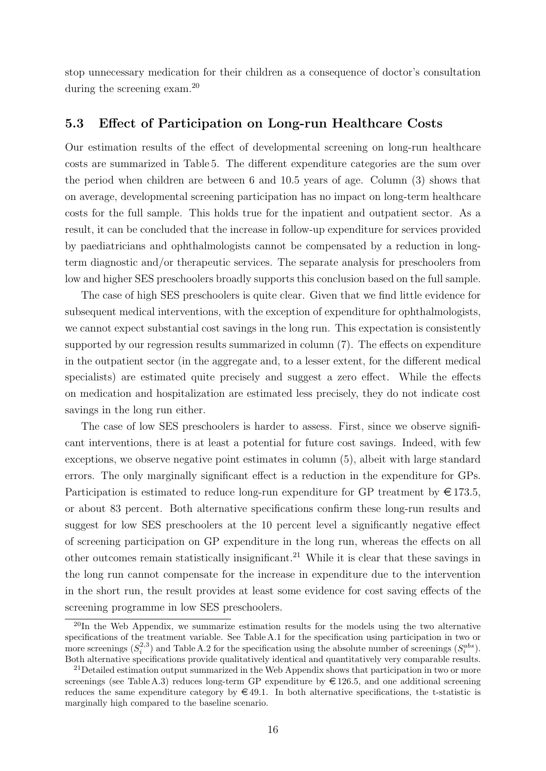stop unnecessary medication for their children as a consequence of doctor's consultation during the screening exam.<sup>20</sup>

#### 5.3 Effect of Participation on Long-run Healthcare Costs

Our estimation results of the effect of developmental screening on long-run healthcare costs are summarized in Table 5. The different expenditure categories are the sum over the period when children are between 6 and 10.5 years of age. Column (3) shows that on average, developmental screening participation has no impact on long-term healthcare costs for the full sample. This holds true for the inpatient and outpatient sector. As a result, it can be concluded that the increase in follow-up expenditure for services provided by paediatricians and ophthalmologists cannot be compensated by a reduction in longterm diagnostic and/or therapeutic services. The separate analysis for preschoolers from low and higher SES preschoolers broadly supports this conclusion based on the full sample.

The case of high SES preschoolers is quite clear. Given that we find little evidence for subsequent medical interventions, with the exception of expenditure for ophthalmologists, we cannot expect substantial cost savings in the long run. This expectation is consistently supported by our regression results summarized in column (7). The effects on expenditure in the outpatient sector (in the aggregate and, to a lesser extent, for the different medical specialists) are estimated quite precisely and suggest a zero effect. While the effects on medication and hospitalization are estimated less precisely, they do not indicate cost savings in the long run either.

The case of low SES preschoolers is harder to assess. First, since we observe significant interventions, there is at least a potential for future cost savings. Indeed, with few exceptions, we observe negative point estimates in column (5), albeit with large standard errors. The only marginally significant effect is a reduction in the expenditure for GPs. Participation is estimated to reduce long-run expenditure for GP treatment by  $\in$  173.5, or about 83 percent. Both alternative specifications confirm these long-run results and suggest for low SES preschoolers at the 10 percent level a significantly negative effect of screening participation on GP expenditure in the long run, whereas the effects on all other outcomes remain statistically insignificant.<sup>21</sup> While it is clear that these savings in the long run cannot compensate for the increase in expenditure due to the intervention in the short run, the result provides at least some evidence for cost saving effects of the screening programme in low SES preschoolers.

 $^{20}$ In the Web Appendix, we summarize estimation results for the models using the two alternative specifications of the treatment variable. See Table A.1 for the specification using participation in two or more screenings  $(S_i^{2,3})$  and Table A.2 for the specification using the absolute number of screenings  $(S_i^{abs})$ . Both alternative specifications provide qualitatively identical and quantitatively very comparable results.

<sup>&</sup>lt;sup>21</sup>Detailed estimation output summarized in the Web Appendix shows that participation in two or more screenings (see Table A.3) reduces long-term GP expenditure by  $\in$  126.5, and one additional screening reduces the same expenditure category by  $\in$  49.1. In both alternative specifications, the t-statistic is marginally high compared to the baseline scenario.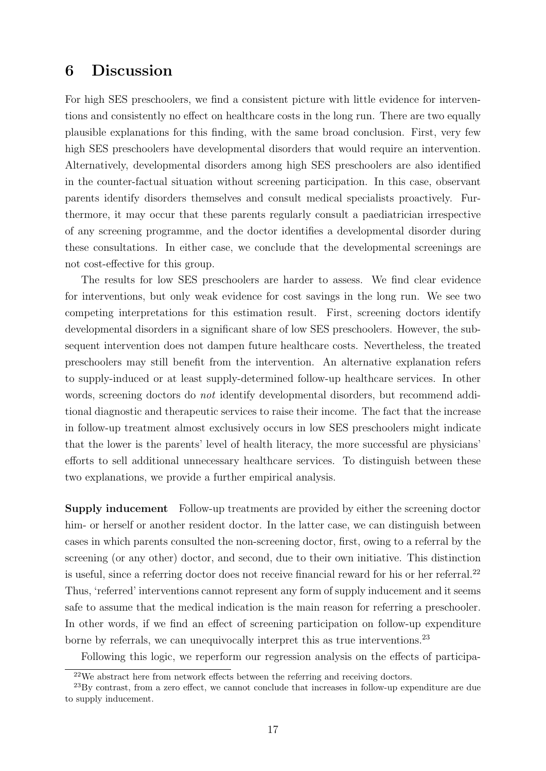## 6 Discussion

For high SES preschoolers, we find a consistent picture with little evidence for interventions and consistently no effect on healthcare costs in the long run. There are two equally plausible explanations for this finding, with the same broad conclusion. First, very few high SES preschoolers have developmental disorders that would require an intervention. Alternatively, developmental disorders among high SES preschoolers are also identified in the counter-factual situation without screening participation. In this case, observant parents identify disorders themselves and consult medical specialists proactively. Furthermore, it may occur that these parents regularly consult a paediatrician irrespective of any screening programme, and the doctor identifies a developmental disorder during these consultations. In either case, we conclude that the developmental screenings are not cost-effective for this group.

The results for low SES preschoolers are harder to assess. We find clear evidence for interventions, but only weak evidence for cost savings in the long run. We see two competing interpretations for this estimation result. First, screening doctors identify developmental disorders in a significant share of low SES preschoolers. However, the subsequent intervention does not dampen future healthcare costs. Nevertheless, the treated preschoolers may still benefit from the intervention. An alternative explanation refers to supply-induced or at least supply-determined follow-up healthcare services. In other words, screening doctors do *not* identify developmental disorders, but recommend additional diagnostic and therapeutic services to raise their income. The fact that the increase in follow-up treatment almost exclusively occurs in low SES preschoolers might indicate that the lower is the parents' level of health literacy, the more successful are physicians' efforts to sell additional unnecessary healthcare services. To distinguish between these two explanations, we provide a further empirical analysis.

Supply inducement Follow-up treatments are provided by either the screening doctor him- or herself or another resident doctor. In the latter case, we can distinguish between cases in which parents consulted the non-screening doctor, first, owing to a referral by the screening (or any other) doctor, and second, due to their own initiative. This distinction is useful, since a referring doctor does not receive financial reward for his or her referral.<sup>22</sup> Thus, 'referred' interventions cannot represent any form of supply inducement and it seems safe to assume that the medical indication is the main reason for referring a preschooler. In other words, if we find an effect of screening participation on follow-up expenditure borne by referrals, we can unequivocally interpret this as true interventions.<sup>23</sup>

Following this logic, we reperform our regression analysis on the effects of participa-

<sup>22</sup>We abstract here from network effects between the referring and receiving doctors.

<sup>23</sup>By contrast, from a zero effect, we cannot conclude that increases in follow-up expenditure are due to supply inducement.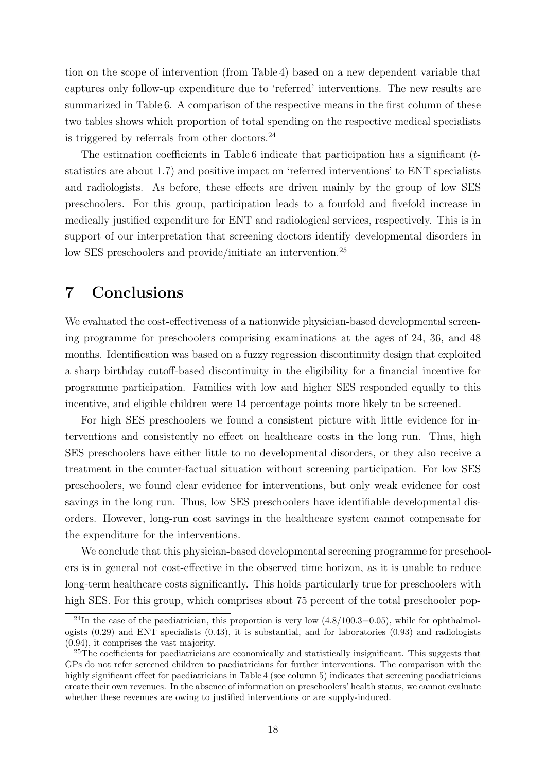tion on the scope of intervention (from Table 4) based on a new dependent variable that captures only follow-up expenditure due to 'referred' interventions. The new results are summarized in Table 6. A comparison of the respective means in the first column of these two tables shows which proportion of total spending on the respective medical specialists is triggered by referrals from other doctors. $^{24}$ 

The estimation coefficients in Table 6 indicate that participation has a significant  $(t$ statistics are about 1.7) and positive impact on 'referred interventions' to ENT specialists and radiologists. As before, these effects are driven mainly by the group of low SES preschoolers. For this group, participation leads to a fourfold and fivefold increase in medically justified expenditure for ENT and radiological services, respectively. This is in support of our interpretation that screening doctors identify developmental disorders in low SES preschoolers and provide/initiate an intervention.<sup>25</sup>

## 7 Conclusions

We evaluated the cost-effectiveness of a nationwide physician-based developmental screening programme for preschoolers comprising examinations at the ages of 24, 36, and 48 months. Identification was based on a fuzzy regression discontinuity design that exploited a sharp birthday cutoff-based discontinuity in the eligibility for a financial incentive for programme participation. Families with low and higher SES responded equally to this incentive, and eligible children were 14 percentage points more likely to be screened.

For high SES preschoolers we found a consistent picture with little evidence for interventions and consistently no effect on healthcare costs in the long run. Thus, high SES preschoolers have either little to no developmental disorders, or they also receive a treatment in the counter-factual situation without screening participation. For low SES preschoolers, we found clear evidence for interventions, but only weak evidence for cost savings in the long run. Thus, low SES preschoolers have identifiable developmental disorders. However, long-run cost savings in the healthcare system cannot compensate for the expenditure for the interventions.

We conclude that this physician-based developmental screening programme for preschoolers is in general not cost-effective in the observed time horizon, as it is unable to reduce long-term healthcare costs significantly. This holds particularly true for preschoolers with high SES. For this group, which comprises about 75 percent of the total preschooler pop-

<sup>&</sup>lt;sup>24</sup>In the case of the paediatrician, this proportion is very low  $(4.8/100.3=0.05)$ , while for ophthalmologists  $(0.29)$  and ENT specialists  $(0.43)$ , it is substantial, and for laboratories  $(0.93)$  and radiologists (0.94), it comprises the vast majority.

 $25$ The coefficients for paediatricians are economically and statistically insignificant. This suggests that GPs do not refer screened children to paediatricians for further interventions. The comparison with the highly significant effect for paediatricians in Table 4 (see column 5) indicates that screening paediatricians create their own revenues. In the absence of information on preschoolers' health status, we cannot evaluate whether these revenues are owing to justified interventions or are supply-induced.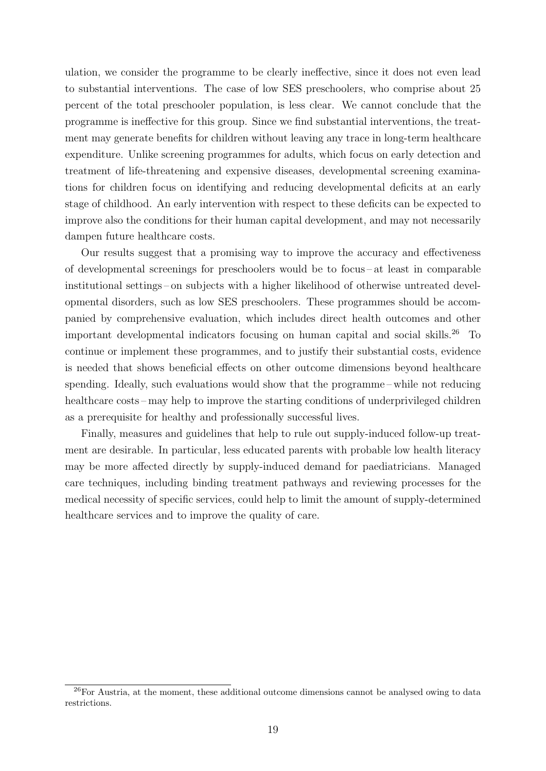ulation, we consider the programme to be clearly ineffective, since it does not even lead to substantial interventions. The case of low SES preschoolers, who comprise about 25 percent of the total preschooler population, is less clear. We cannot conclude that the programme is ineffective for this group. Since we find substantial interventions, the treatment may generate benefits for children without leaving any trace in long-term healthcare expenditure. Unlike screening programmes for adults, which focus on early detection and treatment of life-threatening and expensive diseases, developmental screening examinations for children focus on identifying and reducing developmental deficits at an early stage of childhood. An early intervention with respect to these deficits can be expected to improve also the conditions for their human capital development, and may not necessarily dampen future healthcare costs.

Our results suggest that a promising way to improve the accuracy and effectiveness of developmental screenings for preschoolers would be to focus – at least in comparable institutional settings – on subjects with a higher likelihood of otherwise untreated developmental disorders, such as low SES preschoolers. These programmes should be accompanied by comprehensive evaluation, which includes direct health outcomes and other important developmental indicators focusing on human capital and social skills.<sup>26</sup> To continue or implement these programmes, and to justify their substantial costs, evidence is needed that shows beneficial effects on other outcome dimensions beyond healthcare spending. Ideally, such evaluations would show that the programme – while not reducing healthcare costs – may help to improve the starting conditions of underprivileged children as a prerequisite for healthy and professionally successful lives.

Finally, measures and guidelines that help to rule out supply-induced follow-up treatment are desirable. In particular, less educated parents with probable low health literacy may be more affected directly by supply-induced demand for paediatricians. Managed care techniques, including binding treatment pathways and reviewing processes for the medical necessity of specific services, could help to limit the amount of supply-determined healthcare services and to improve the quality of care.

<sup>&</sup>lt;sup>26</sup>For Austria, at the moment, these additional outcome dimensions cannot be analysed owing to data restrictions.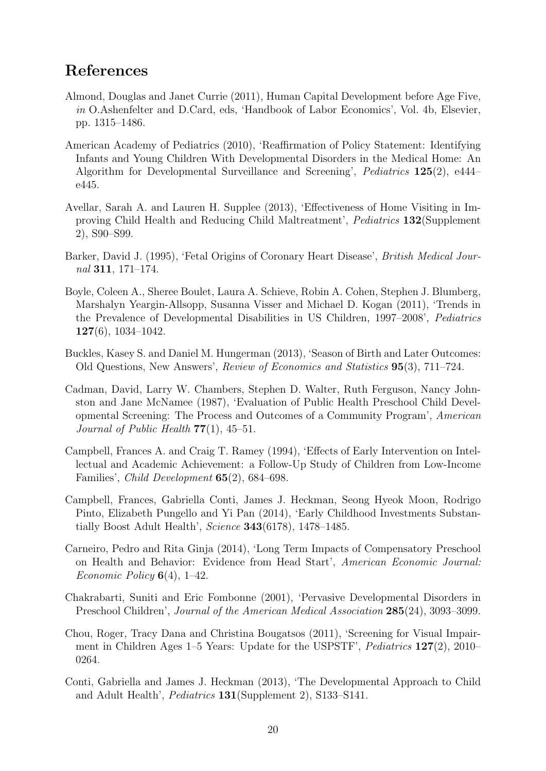## References

- Almond, Douglas and Janet Currie (2011), Human Capital Development before Age Five, in O.Ashenfelter and D.Card, eds, 'Handbook of Labor Economics', Vol. 4b, Elsevier, pp. 1315–1486.
- American Academy of Pediatrics (2010), 'Reaffirmation of Policy Statement: Identifying Infants and Young Children With Developmental Disorders in the Medical Home: An Algorithm for Developmental Surveillance and Screening', Pediatrics 125(2), e444– e445.
- Avellar, Sarah A. and Lauren H. Supplee (2013), 'Effectiveness of Home Visiting in Improving Child Health and Reducing Child Maltreatment', Pediatrics 132(Supplement 2), S90–S99.
- Barker, David J. (1995), 'Fetal Origins of Coronary Heart Disease', British Medical Journal 311, 171–174.
- Boyle, Coleen A., Sheree Boulet, Laura A. Schieve, Robin A. Cohen, Stephen J. Blumberg, Marshalyn Yeargin-Allsopp, Susanna Visser and Michael D. Kogan (2011), 'Trends in the Prevalence of Developmental Disabilities in US Children, 1997–2008', Pediatrics  $127(6)$ , 1034–1042.
- Buckles, Kasey S. and Daniel M. Hungerman (2013), 'Season of Birth and Later Outcomes: Old Questions, New Answers', Review of Economics and Statistics 95(3), 711–724.
- Cadman, David, Larry W. Chambers, Stephen D. Walter, Ruth Ferguson, Nancy Johnston and Jane McNamee (1987), 'Evaluation of Public Health Preschool Child Developmental Screening: The Process and Outcomes of a Community Program', American Journal of Public Health  $77(1)$ , 45-51.
- Campbell, Frances A. and Craig T. Ramey (1994), 'Effects of Early Intervention on Intellectual and Academic Achievement: a Follow-Up Study of Children from Low-Income Families', Child Development 65(2), 684–698.
- Campbell, Frances, Gabriella Conti, James J. Heckman, Seong Hyeok Moon, Rodrigo Pinto, Elizabeth Pungello and Yi Pan (2014), 'Early Childhood Investments Substantially Boost Adult Health', Science 343(6178), 1478–1485.
- Carneiro, Pedro and Rita Ginja (2014), 'Long Term Impacts of Compensatory Preschool on Health and Behavior: Evidence from Head Start', American Economic Journal: Economic Policy  $6(4)$ , 1–42.
- Chakrabarti, Suniti and Eric Fombonne (2001), 'Pervasive Developmental Disorders in Preschool Children', Journal of the American Medical Association 285(24), 3093–3099.
- Chou, Roger, Tracy Dana and Christina Bougatsos (2011), 'Screening for Visual Impairment in Children Ages 1–5 Years: Update for the USPSTF', Pediatrics 127(2), 2010– 0264.
- Conti, Gabriella and James J. Heckman (2013), 'The Developmental Approach to Child and Adult Health', Pediatrics 131(Supplement 2), S133–S141.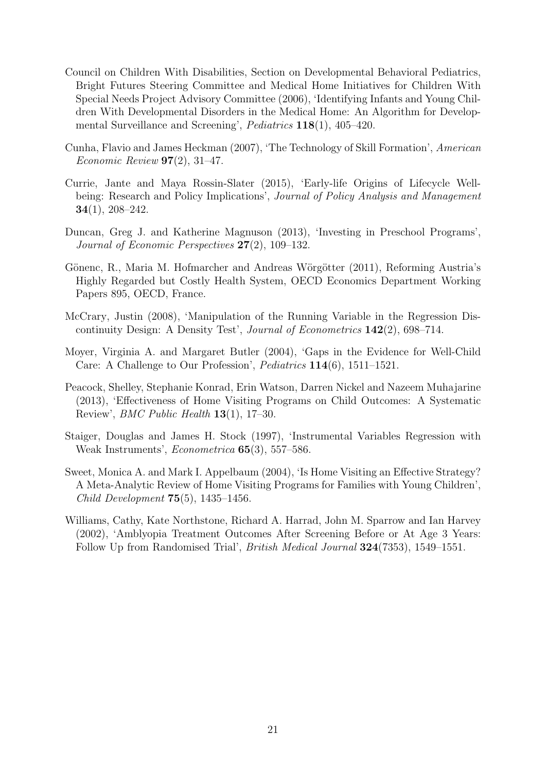- Council on Children With Disabilities, Section on Developmental Behavioral Pediatrics, Bright Futures Steering Committee and Medical Home Initiatives for Children With Special Needs Project Advisory Committee (2006), 'Identifying Infants and Young Children With Developmental Disorders in the Medical Home: An Algorithm for Developmental Surveillance and Screening', Pediatrics 118(1), 405–420.
- Cunha, Flavio and James Heckman (2007), 'The Technology of Skill Formation', American Economic Review  $97(2)$ , 31-47.
- Currie, Jante and Maya Rossin-Slater (2015), 'Early-life Origins of Lifecycle Wellbeing: Research and Policy Implications', *Journal of Policy Analysis and Management* 34(1), 208–242.
- Duncan, Greg J. and Katherine Magnuson (2013), 'Investing in Preschool Programs', Journal of Economic Perspectives 27(2), 109–132.
- Gönenc, R., Maria M. Hofmarcher and Andreas Wörgötter (2011), Reforming Austria's Highly Regarded but Costly Health System, OECD Economics Department Working Papers 895, OECD, France.
- McCrary, Justin (2008), 'Manipulation of the Running Variable in the Regression Discontinuity Design: A Density Test', Journal of Econometrics 142(2), 698–714.
- Moyer, Virginia A. and Margaret Butler (2004), 'Gaps in the Evidence for Well-Child Care: A Challenge to Our Profession', Pediatrics 114(6), 1511–1521.
- Peacock, Shelley, Stephanie Konrad, Erin Watson, Darren Nickel and Nazeem Muhajarine (2013), 'Effectiveness of Home Visiting Programs on Child Outcomes: A Systematic Review', BMC Public Health 13(1), 17–30.
- Staiger, Douglas and James H. Stock (1997), 'Instrumental Variables Regression with Weak Instruments', Econometrica 65(3), 557–586.
- Sweet, Monica A. and Mark I. Appelbaum (2004), 'Is Home Visiting an Effective Strategy? A Meta-Analytic Review of Home Visiting Programs for Families with Young Children', Child Development 75(5), 1435–1456.
- Williams, Cathy, Kate Northstone, Richard A. Harrad, John M. Sparrow and Ian Harvey (2002), 'Amblyopia Treatment Outcomes After Screening Before or At Age 3 Years: Follow Up from Randomised Trial', British Medical Journal 324(7353), 1549–1551.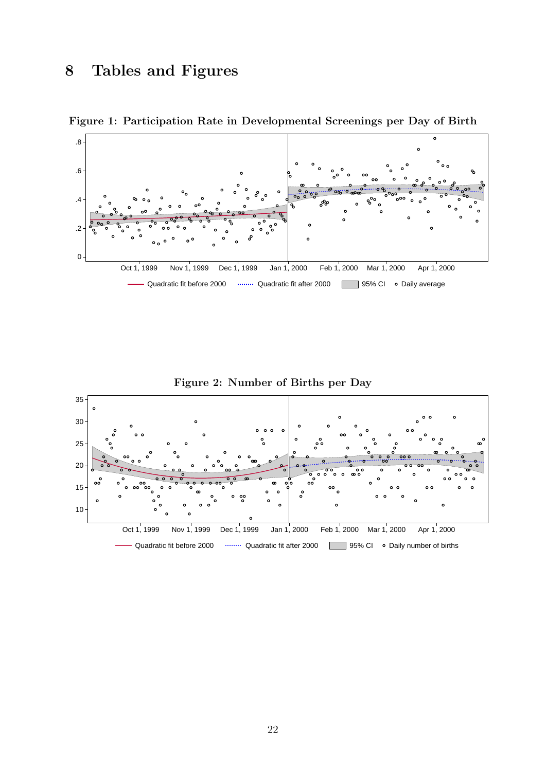# 8 Tables and Figures





Figure 2: Number of Births per Day

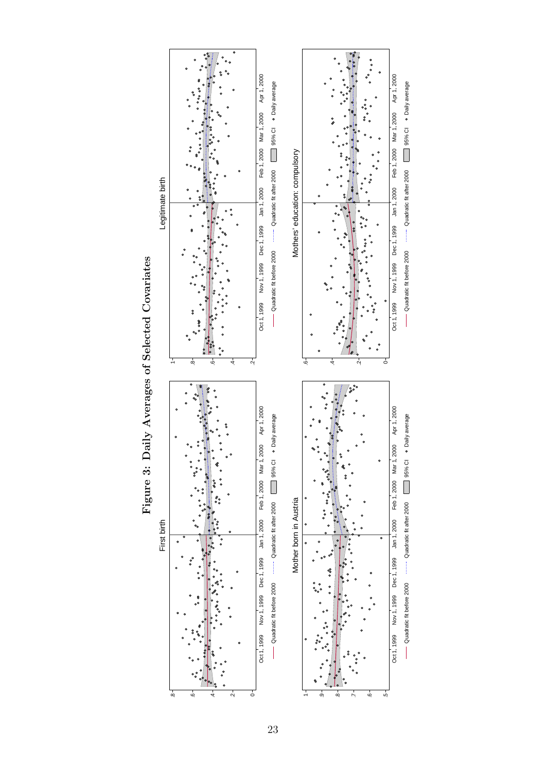

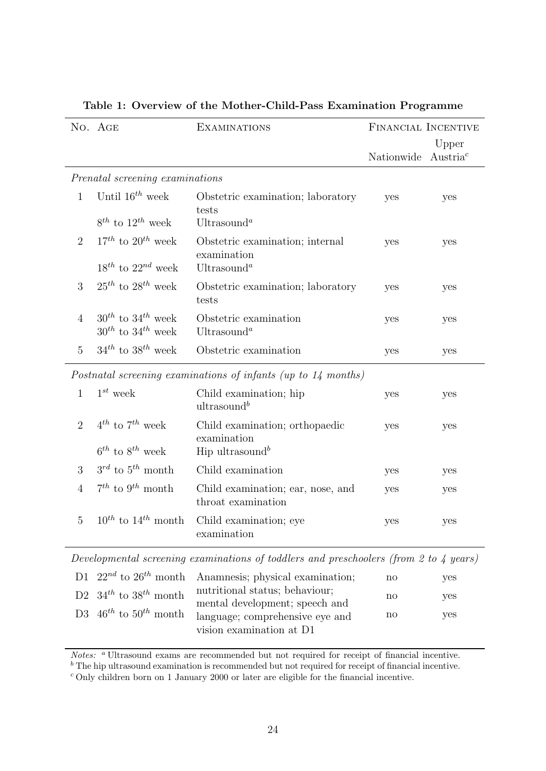|                | No. AGE                                                    | <b>EXAMINATIONS</b>                                                                   | FINANCIAL INCENTIVE |                               |
|----------------|------------------------------------------------------------|---------------------------------------------------------------------------------------|---------------------|-------------------------------|
|                |                                                            |                                                                                       | Nationwide          | Upper<br>Austria <sup>c</sup> |
|                | Prenatal screening examinations                            |                                                                                       |                     |                               |
| $\mathbf{1}$   | Until $16^{th}$ week<br>$8^{th}$ to $12^{th}$ week         | Obstetric examination; laboratory<br>tests<br>Ultrasound <sup>a</sup>                 | yes                 | yes                           |
| $\overline{2}$ | $17^{th}$ to $20^{th}$ week<br>$18^{th}$ to $22^{nd}$ week | Obstetric examination; internal<br>examination<br>Ultrasound <sup>a</sup>             | yes                 | yes                           |
| 3              | $25^{th}$ to $28^{th}$ week                                | Obstetric examination; laboratory<br>tests                                            | yes                 | yes                           |
| $\overline{4}$ | $30^{th}$ to $34^{th}$ week<br>$30^{th}$ to $34^{th}$ week | Obstetric examination<br>Ultrasound <sup>a</sup>                                      | yes                 | yes                           |
| $\overline{5}$ | $34^{th}$ to $38^{th}$ week                                | Obstetric examination                                                                 | yes                 | yes                           |
|                |                                                            | Postnatal screening examinations of infants (up to 14 months)                         |                     |                               |
| $\mathbf{1}$   | $1^{st}$ week                                              | Child examination; hip<br>ultrasound <sup>b</sup>                                     | yes                 | yes                           |
| 2              | $4^{th}$ to $7^{th}$ week<br>$6^{th}$ to $8^{th}$ week     | Child examination; orthopaedic<br>examination<br>Hip ultrasound <sup>b</sup>          | yes                 | yes                           |
| 3              | $3^{rd}$ to $5^{th}$ month                                 | Child examination                                                                     | yes                 | yes                           |
| $\overline{4}$ | $7^{th}$ to $9^{th}$ month                                 | Child examination; ear, nose, and<br>throat examination                               | yes                 | yes                           |
| $\overline{5}$ | $10^{th}$ to $14^{th}$ month                               | Child examination; eye<br>examination                                                 | yes                 | yes                           |
|                |                                                            | Developmental screening examinations of toddlers and preschoolers (from 2 to 4 years) |                     |                               |
| D1.            | $22^{nd}$ to $26^{th}$ month                               | Anamnesis; physical examination;                                                      | no                  | yes                           |
| D <sub>2</sub> | $24th + 29th$ month                                        | nutritional status; behaviour;                                                        |                     |                               |

|  |  |  |  |  | Table 1: Overview of the Mother-Child-Pass Examination Programme |  |
|--|--|--|--|--|------------------------------------------------------------------|--|
|--|--|--|--|--|------------------------------------------------------------------|--|

Notes: <sup>a</sup> Ultrasound exams are recommended but not required for receipt of financial incentive.

vision examination at D1

mental development; speech and language; comprehensive eye and no

yes

yes

no

 $<sup>b</sup>$  The hip ultrasound examination is recommended but not required for receipt of financial incentive.</sup>

<sup>c</sup> Only children born on 1 January 2000 or later are eligible for the financial incentive.

D2  $34^{th}$  to  $38^{th}$  month

D3  $46^{th}$  to  $50^{th}$  month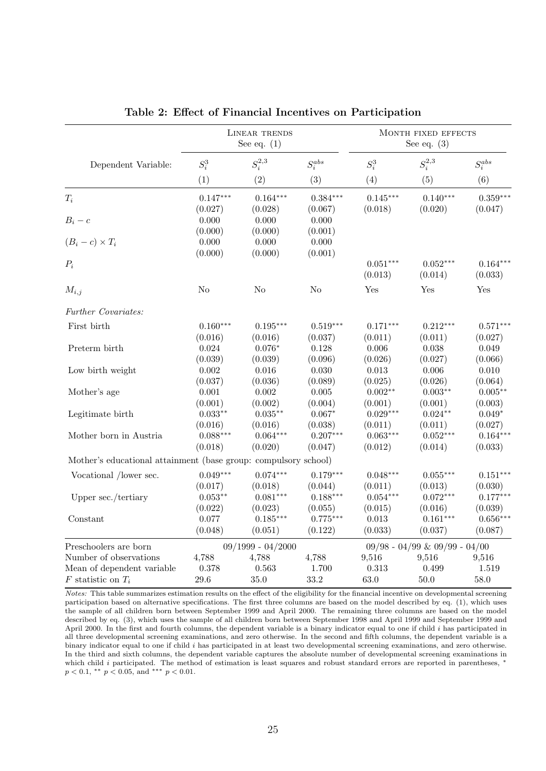|                                                                 |                  | LINEAR TRENDS<br>See eq. $(1)$ |                  |                       | MONTH FIXED EFFECTS<br>See eq. $(3)$ |                       |  |
|-----------------------------------------------------------------|------------------|--------------------------------|------------------|-----------------------|--------------------------------------|-----------------------|--|
| Dependent Variable:                                             | $S_i^3$          | $S_i^{2,3}$                    | $S_i^{abs}$      | $S_i^3$               | $S_i^{2,3}$                          | $S_i^{abs}$           |  |
|                                                                 | (1)              | (2)                            | (3)              | (4)                   | (5)                                  | (6)                   |  |
| $T_i$                                                           | $0.147***$       | $0.164***$                     | $0.384***$       | $0.145***$            | $0.140***$                           | $0.359***$            |  |
|                                                                 | (0.027)          | (0.028)                        | (0.067)          | (0.018)               | (0.020)                              | (0.047)               |  |
| $B_i-c$                                                         | 0.000<br>(0.000) | 0.000<br>(0.000)               | 0.000<br>(0.001) |                       |                                      |                       |  |
| $(B_i - c) \times T_i$                                          | 0.000<br>(0.000) | 0.000<br>(0.000)               | 0.000<br>(0.001) |                       |                                      |                       |  |
| $P_i$                                                           |                  |                                |                  | $0.051***$<br>(0.013) | $0.052***$<br>(0.014)                | $0.164***$<br>(0.033) |  |
| $M_{i,j}$                                                       | N <sub>o</sub>   | N <sub>o</sub>                 | N <sub>o</sub>   | Yes                   | Yes                                  | Yes                   |  |
| Further Covariates:                                             |                  |                                |                  |                       |                                      |                       |  |
| First birth                                                     | $0.160***$       | $0.195***$                     | $0.519***$       | $0.171***$            | $0.212***$                           | $0.571***$            |  |
|                                                                 | (0.016)          | (0.016)                        | (0.037)          | (0.011)               | (0.011)                              | (0.027)               |  |
| Preterm birth                                                   | 0.024            | $0.076*$                       | 0.128            | 0.006                 | 0.038                                | 0.049                 |  |
|                                                                 | (0.039)          | (0.039)                        | (0.096)          | (0.026)               | (0.027)                              | (0.066)               |  |
| Low birth weight                                                | $0.002\,$        | $0.016\,$                      | 0.030            | $\,0.013\,$           | $0.006\,$                            | $0.010\,$             |  |
|                                                                 | (0.037)          | (0.036)                        | (0.089)          | (0.025)               | (0.026)                              | (0.064)               |  |
| Mother's age                                                    | 0.001            | 0.002                          | 0.005            | $0.002**$             | $0.003**$                            | $0.005**$             |  |
|                                                                 | (0.001)          | (0.002)                        | (0.004)          | (0.001)               | (0.001)                              | (0.003)               |  |
| Legitimate birth                                                | $0.033**$        | $0.035***$                     | $0.067*$         | $0.029***$            | $0.024**$                            | $0.049*$              |  |
|                                                                 | (0.016)          | (0.016)                        | (0.038)          | (0.011)               | (0.011)                              | (0.027)               |  |
| Mother born in Austria                                          | $0.088***$       | $0.064***$                     | $0.207***$       | $0.063***$            | $0.052***$                           | $0.164***$            |  |
|                                                                 | (0.018)          | (0.020)                        | (0.047)          | (0.012)               | (0.014)                              | (0.033)               |  |
| Mother's educational attainment (base group: compulsory school) |                  |                                |                  |                       |                                      |                       |  |
| Vocational /lower sec.                                          | $0.049***$       | $0.074***$                     | $0.179***$       | $0.048***$            | $0.055***$                           | $0.151***$            |  |
|                                                                 | (0.017)          | (0.018)                        | (0.044)          | (0.011)               | (0.013)                              | (0.030)               |  |
| Upper sec./tertiary                                             | $0.053**$        | $0.081***$                     | $0.188***$       | $0.054***$            | $0.072***$                           | $0.177***$            |  |
|                                                                 | (0.022)          | (0.023)                        | (0.055)          | (0.015)               | (0.016)                              | (0.039)               |  |
| Constant                                                        | 0.077            | $0.185***$                     | $0.775***$       | $\,0.013\,$           | $0.161***$                           | $0.656***$            |  |
|                                                                 | (0.048)          | (0.051)                        | (0.122)          | (0.033)               | (0.037)                              | (0.087)               |  |
| Preschoolers are born                                           |                  | $09/1999 - 04/2000$            |                  |                       | $09/98 - 04/99 \& 09/99 - 04/00$     |                       |  |
| Number of observations                                          | 4,788            | 4,788                          | 4,788            | 9,516                 | 9,516                                | 9,516                 |  |
| Mean of dependent variable                                      | 0.378            | 0.563                          | 1.700            | 0.313                 | 0.499                                | 1.519                 |  |
| $F$ statistic on $T_i$                                          | $29.6\,$         | $35.0\,$                       | 33.2             | 63.0                  | 50.0                                 | 58.0                  |  |

Table 2: Effect of Financial Incentives on Participation

Notes: This table summarizes estimation results on the effect of the eligibility for the financial incentive on developmental screening participation based on alternative specifications. The first three columns are based on the model described by eq. (1), which uses the sample of all children born between September 1999 and April 2000. The remaining three columns are based on the model described by eq. (3), which uses the sample of all children born between September 1998 and April 1999 and September 1999 and April 2000. In the first and fourth columns, the dependent variable is a binary indicator equal to one if child i has participated in all three developmental screening examinations, and zero otherwise. In the second and fifth columns, the dependent variable is a binary indicator equal to one if child i has participated in at least two developmental screening examinations, and zero otherwise. In the third and sixth columns, the dependent variable captures the absolute number of developmental screening examinations in which child i participated. The method of estimation is least squares and robust standard errors are reported in parentheses,  $*$  $p < 0.1$ , \*\*  $p < 0.05$ , and \*\*\*  $p < 0.01$ .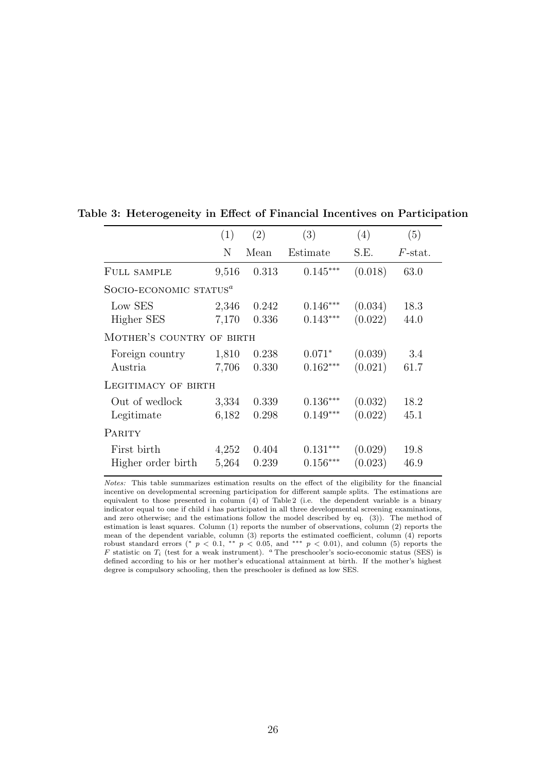|                                    | (1)   | (2)   | (3)        | (4)     | (5)              |  |  |  |
|------------------------------------|-------|-------|------------|---------|------------------|--|--|--|
|                                    | N     | Mean  | Estimate   | S.E.    | $F\text{-stat.}$ |  |  |  |
| FULL SAMPLE                        | 9,516 | 0.313 | $0.145***$ | (0.018) | 63.0             |  |  |  |
| SOCIO-ECONOMIC STATUS <sup>a</sup> |       |       |            |         |                  |  |  |  |
| Low SES                            | 2,346 | 0.242 | $0.146***$ | (0.034) | 18.3             |  |  |  |
| Higher SES                         | 7,170 | 0.336 | $0.143***$ | (0.022) | 44.0             |  |  |  |
| MOTHER'S COUNTRY OF BIRTH          |       |       |            |         |                  |  |  |  |
| Foreign country                    | 1,810 | 0.238 | $0.071*$   | (0.039) | 3.4              |  |  |  |
| Austria                            | 7,706 | 0.330 | $0.162***$ | (0.021) | 61.7             |  |  |  |
| LEGITIMACY OF BIRTH                |       |       |            |         |                  |  |  |  |
| Out of wedlock                     | 3,334 | 0.339 | $0.136***$ | (0.032) | 18.2             |  |  |  |
| Legitimate                         | 6,182 | 0.298 | $0.149***$ | (0.022) | 45.1             |  |  |  |
| <b>PARITY</b>                      |       |       |            |         |                  |  |  |  |
| First birth                        | 4,252 | 0.404 | $0.131***$ | (0.029) | 19.8             |  |  |  |
| Higher order birth                 | 5,264 | 0.239 | $0.156***$ | (0.023) | 46.9             |  |  |  |

#### Table 3: Heterogeneity in Effect of Financial Incentives on Participation

Notes: This table summarizes estimation results on the effect of the eligibility for the financial incentive on developmental screening participation for different sample splits. The estimations are equivalent to those presented in column (4) of Table 2 (i.e. the dependent variable is a binary indicator equal to one if child  $i$  has participated in all three developmental screening examinations, and zero otherwise; and the estimations follow the model described by eq. (3)). The method of estimation is least squares. Column (1) reports the number of observations, column (2) reports the mean of the dependent variable, column (3) reports the estimated coefficient, column (4) reports robust standard errors (\*  $p < 0.1$ , \*\*  $p < 0.05$ , and \*\*\*  $p < 0.01$ ), and column (5) reports the F statistic on  $T_i$  (test for a weak instrument). <sup>a</sup> The preschooler's socio-economic status (SES) is defined according to his or her mother's educational attainment at birth. If the mother's highest degree is compulsory schooling, then the preschooler is defined as low SES.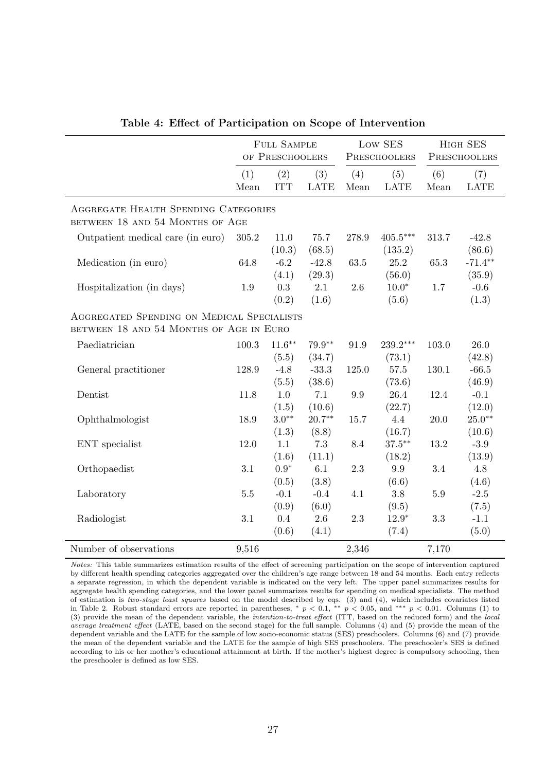|                                                                                       |             | FULL SAMPLE<br>OF PRESCHOOLERS |                    |             | Low SES<br>PRESCHOOLERS |             | HIGH SES<br>PRESCHOOLERS |
|---------------------------------------------------------------------------------------|-------------|--------------------------------|--------------------|-------------|-------------------------|-------------|--------------------------|
|                                                                                       | (1)<br>Mean | (2)<br><b>ITT</b>              | (3)<br><b>LATE</b> | (4)<br>Mean | (5)<br><b>LATE</b>      | (6)<br>Mean | (7)<br><b>LATE</b>       |
| AGGREGATE HEALTH SPENDING CATEGORIES<br>BETWEEN 18 AND 54 MONTHS OF AGE               |             |                                |                    |             |                         |             |                          |
| Outpatient medical care (in euro)                                                     | 305.2       | 11.0<br>(10.3)                 | 75.7<br>(68.5)     | 278.9       | $405.5***$<br>(135.2)   | 313.7       | $-42.8$<br>(86.6)        |
| Medication (in euro)                                                                  | 64.8        | $-6.2$<br>(4.1)                | $-42.8$<br>(29.3)  | 63.5        | 25.2<br>(56.0)          | 65.3        | $-71.4**$<br>(35.9)      |
| Hospitalization (in days)                                                             | 1.9         | 0.3<br>(0.2)                   | 2.1<br>(1.6)       | 2.6         | $10.0*$<br>(5.6)        | 1.7         | $-0.6$<br>(1.3)          |
| AGGREGATED SPENDING ON MEDICAL SPECIALISTS<br>BETWEEN 18 AND 54 MONTHS OF AGE IN EURO |             |                                |                    |             |                         |             |                          |
| Paediatrician                                                                         | 100.3       | $11.6***$<br>(5.5)             | $79.9**$<br>(34.7) | 91.9        | $239.2***$<br>(73.1)    | 103.0       | 26.0<br>(42.8)           |
| General practitioner                                                                  | 128.9       | $-4.8$<br>(5.5)                | $-33.3$<br>(38.6)  | 125.0       | 57.5<br>(73.6)          | 130.1       | $-66.5$<br>(46.9)        |
| Dentist                                                                               | 11.8        | $1.0\,$<br>(1.5)               | 7.1<br>(10.6)      | 9.9         | 26.4<br>(22.7)          | 12.4        | $-0.1$<br>(12.0)         |
| Ophthalmologist                                                                       | 18.9        | $3.0**$<br>(1.3)               | $20.7**$<br>(8.8)  | 15.7        | 4.4<br>(16.7)           | 20.0        | $25.0**$<br>(10.6)       |
| ENT specialist                                                                        | 12.0        | 1.1<br>(1.6)                   | 7.3<br>(11.1)      | 8.4         | $37.5***$<br>(18.2)     | 13.2        | $-3.9$<br>(13.9)         |
| Orthopaedist                                                                          | 3.1         | $0.9^\ast$<br>(0.5)            | 6.1<br>(3.8)       | $2.3\,$     | 9.9<br>(6.6)            | 3.4         | 4.8<br>(4.6)             |
| Laboratory                                                                            | $5.5\,$     | $-0.1$<br>(0.9)                | $-0.4$<br>(6.0)    | 4.1         | 3.8<br>(9.5)            | $5.9\,$     | $-2.5$<br>(7.5)          |
| Radiologist                                                                           | 3.1         | 0.4<br>(0.6)                   | 2.6<br>(4.1)       | 2.3         | $12.9*$<br>(7.4)        | 3.3         | $-1.1$<br>(5.0)          |
| Number of observations                                                                | 9,516       |                                |                    | 2,346       |                         | 7,170       |                          |

|  |  |  |  |  | Table 4: Effect of Participation on Scope of Intervention |
|--|--|--|--|--|-----------------------------------------------------------|
|--|--|--|--|--|-----------------------------------------------------------|

Notes: This table summarizes estimation results of the effect of screening participation on the scope of intervention captured by different health spending categories aggregated over the children's age range between 18 and 54 months. Each entry reflects a separate regression, in which the dependent variable is indicated on the very left. The upper panel summarizes results for aggregate health spending categories, and the lower panel summarizes results for spending on medical specialists. The method of estimation is two-stage least squares based on the model described by eqs.  $(3)$  and  $(4)$ , which includes covariates listed in Table 2. Robust standard errors are reported in parentheses, \*  $p < 0.1$ , \*\*  $p < 0.05$ , and \*\*\*  $p < 0.01$ . Columns (1) to (3) provide the mean of the dependent variable, the intention-to-treat effect (ITT, based on the reduced form) and the local average treatment effect (LATE, based on the second stage) for the full sample. Columns (4) and (5) provide the mean of the dependent variable and the LATE for the sample of low socio-economic status (SES) preschoolers. Columns (6) and (7) provide the mean of the dependent variable and the LATE for the sample of high SES preschoolers. The preschooler's SES is defined according to his or her mother's educational attainment at birth. If the mother's highest degree is compulsory schooling, then the preschooler is defined as low SES.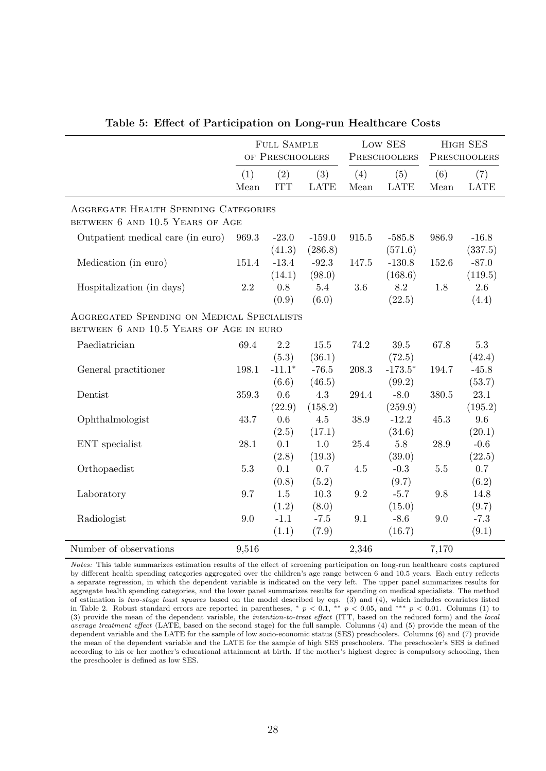|                                                                                       |             | FULL SAMPLE<br>OF PRESCHOOLERS |                              |             | Low SES<br>PRESCHOOLERS        |             | HIGH SES<br>PRESCHOOLERS      |
|---------------------------------------------------------------------------------------|-------------|--------------------------------|------------------------------|-------------|--------------------------------|-------------|-------------------------------|
|                                                                                       | (1)<br>Mean | (2)<br><b>ITT</b>              | (3)<br><b>LATE</b>           | (4)<br>Mean | (5)<br><b>LATE</b>             | (6)<br>Mean | (7)<br><b>LATE</b>            |
| AGGREGATE HEALTH SPENDING CATEGORIES<br>BETWEEN 6 AND 10.5 YEARS OF AGE               |             |                                |                              |             |                                |             |                               |
| Outpatient medical care (in euro)                                                     | 969.3       | $-23.0$                        | $-159.0$                     | 915.5       | $-585.8$                       | 986.9       | $-16.8$                       |
| Medication (in euro)                                                                  | 151.4       | (41.3)<br>$-13.4$<br>(14.1)    | (286.8)<br>$-92.3$<br>(98.0) | 147.5       | (571.6)<br>$-130.8$<br>(168.6) | 152.6       | (337.5)<br>$-87.0$<br>(119.5) |
| Hospitalization (in days)                                                             | $2.2\,$     | 0.8<br>(0.9)                   | 5.4<br>(6.0)                 | $3.6\,$     | 8.2<br>(22.5)                  | 1.8         | 2.6<br>(4.4)                  |
| AGGREGATED SPENDING ON MEDICAL SPECIALISTS<br>BETWEEN 6 AND 10.5 YEARS OF AGE IN EURO |             |                                |                              |             |                                |             |                               |
| Paediatrician                                                                         | 69.4        | $2.2\,$                        | $15.5\,$                     | 74.2        | 39.5                           | 67.8        | $5.3\,$                       |
| General practitioner                                                                  | 198.1       | (5.3)<br>$-11.1*$<br>(6.6)     | (36.1)<br>$-76.5$<br>(46.5)  | 208.3       | (72.5)<br>$-173.5*$<br>(99.2)  | 194.7       | (42.4)<br>$-45.8$<br>(53.7)   |
| Dentist                                                                               | 359.3       | $0.6\,$<br>(22.9)              | 4.3<br>(158.2)               | 294.4       | $-8.0$<br>(259.9)              | 380.5       | $23.1\,$<br>(195.2)           |
| Ophthalmologist                                                                       | 43.7        | 0.6<br>(2.5)                   | $4.5\,$<br>(17.1)            | 38.9        | $-12.2$<br>(34.6)              | 45.3        | $9.6\,$<br>(20.1)             |
| ENT specialist                                                                        | 28.1        | 0.1<br>(2.8)                   | 1.0<br>(19.3)                | 25.4        | 5.8<br>(39.0)                  | 28.9        | $-0.6$<br>(22.5)              |
| Orthopaedist                                                                          | $5.3\,$     | 0.1<br>(0.8)                   | 0.7<br>(5.2)                 | 4.5         | $-0.3$<br>(9.7)                | $5.5\,$     | 0.7<br>(6.2)                  |
| Laboratory                                                                            | 9.7         | 1.5<br>(1.2)                   | 10.3<br>(8.0)                | 9.2         | $-5.7$<br>(15.0)               | 9.8         | 14.8<br>(9.7)                 |
| Radiologist                                                                           | 9.0         | $-1.1$<br>(1.1)                | $-7.5$<br>(7.9)              | 9.1         | $-8.6$<br>(16.7)               | 9.0         | $-7.3$<br>(9.1)               |
| Number of observations                                                                | 9,516       |                                |                              | 2,346       |                                | 7,170       |                               |

|  |  | Table 5: Effect of Participation on Long-run Healthcare Costs |  |  |  |
|--|--|---------------------------------------------------------------|--|--|--|
|--|--|---------------------------------------------------------------|--|--|--|

Notes: This table summarizes estimation results of the effect of screening participation on long-run healthcare costs captured by different health spending categories aggregated over the children's age range between 6 and 10.5 years. Each entry reflects a separate regression, in which the dependent variable is indicated on the very left. The upper panel summarizes results for aggregate health spending categories, and the lower panel summarizes results for spending on medical specialists. The method of estimation is two-stage least squares based on the model described by eqs.  $(3)$  and  $(4)$ , which includes covariates listed in Table 2. Robust standard errors are reported in parentheses, \*  $p < 0.1$ , \*\*  $p < 0.05$ , and \*\*\*  $p < 0.01$ . Columns (1) to (3) provide the mean of the dependent variable, the intention-to-treat effect (ITT, based on the reduced form) and the local average treatment effect (LATE, based on the second stage) for the full sample. Columns (4) and (5) provide the mean of the dependent variable and the LATE for the sample of low socio-economic status (SES) preschoolers. Columns (6) and (7) provide the mean of the dependent variable and the LATE for the sample of high SES preschoolers. The preschooler's SES is defined according to his or her mother's educational attainment at birth. If the mother's highest degree is compulsory schooling, then the preschooler is defined as low SES.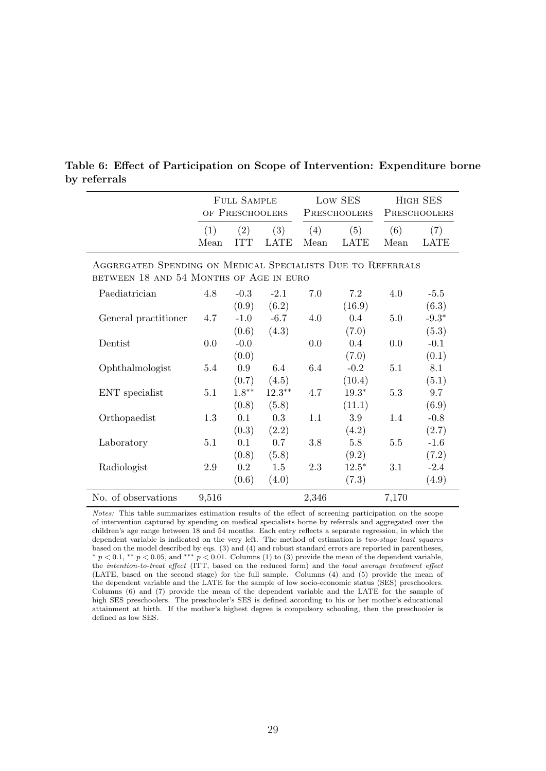|                                                                                                        | <b>FULL SAMPLE</b><br>OF PRESCHOOLERS |                   |                    | Low SES<br>PRESCHOOLERS |                    | HIGH SES<br>PRESCHOOLERS |                    |  |  |  |
|--------------------------------------------------------------------------------------------------------|---------------------------------------|-------------------|--------------------|-------------------------|--------------------|--------------------------|--------------------|--|--|--|
|                                                                                                        | (1)<br>Mean                           | (2)<br><b>TTT</b> | (3)<br><b>LATE</b> | (4)<br>Mean             | (5)<br><b>LATE</b> | (6)<br>Mean              | (7)<br><b>LATE</b> |  |  |  |
| AGGREGATED SPENDING ON MEDICAL SPECIALISTS DUE TO REFERRALS<br>BETWEEN 18 AND 54 MONTHS OF AGE IN EURO |                                       |                   |                    |                         |                    |                          |                    |  |  |  |
| Paediatrician                                                                                          | 4.8                                   | $-0.3$            | $-2.1$             | 7.0                     | 7.2                | 4.0                      | $-5.5$             |  |  |  |
|                                                                                                        |                                       | (0.9)             | (6.2)              |                         | (16.9)             |                          | (6.3)              |  |  |  |
| General practitioner                                                                                   | 4.7                                   | $-1.0$            | $-6.7$             | 4.0                     | 0.4                | 5.0                      | $-9.3*$            |  |  |  |
|                                                                                                        |                                       | (0.6)             | (4.3)              |                         | (7.0)              |                          | (5.3)              |  |  |  |
| Dentist                                                                                                | 0.0                                   | $-0.0$            |                    | 0.0                     | $0.4^{\circ}$      | 0.0                      | $-0.1$             |  |  |  |
|                                                                                                        |                                       | (0.0)             |                    |                         | (7.0)              |                          | (0.1)              |  |  |  |
| Ophthalmologist                                                                                        | 5.4                                   | 0.9               | 6.4                | 6.4                     | $-0.2$             | 5.1                      | 8.1                |  |  |  |
|                                                                                                        |                                       | (0.7)             | (4.5)              |                         | (10.4)             |                          | (5.1)              |  |  |  |
| ENT specialist                                                                                         | 5.1                                   | $1.8**$           | $12.3^{\ast\ast}$  | 4.7                     | $19.3*$            | 5.3                      | 9.7                |  |  |  |
|                                                                                                        |                                       | (0.8)             | (5.8)              |                         | (11.1)             |                          | (6.9)              |  |  |  |
| Orthopaedist                                                                                           | 1.3                                   | 0.1               | 0.3                | 1.1                     | 3.9                | 1.4                      | $-0.8$             |  |  |  |
|                                                                                                        |                                       | (0.3)             | (2.2)              |                         | (4.2)              |                          | (2.7)              |  |  |  |
| Laboratory                                                                                             | 5.1                                   | 0.1               | 0.7                | 3.8                     | 5.8                | 5.5                      | $-1.6$             |  |  |  |
|                                                                                                        |                                       | (0.8)             | (5.8)              |                         | (9.2)              |                          | (7.2)              |  |  |  |
| Radiologist                                                                                            | 2.9                                   | 0.2               | 1.5                | 2.3                     | $12.5*$            | 3.1                      | $-2.4$             |  |  |  |
|                                                                                                        |                                       | (0.6)             | (4.0)              |                         | (7.3)              |                          | (4.9)              |  |  |  |
| No. of observations                                                                                    | 9,516                                 |                   |                    | 2,346                   |                    | 7,170                    |                    |  |  |  |

#### Table 6: Effect of Participation on Scope of Intervention: Expenditure borne by referrals

Notes: This table summarizes estimation results of the effect of screening participation on the scope of intervention captured by spending on medical specialists borne by referrals and aggregated over the children's age range between 18 and 54 months. Each entry reflects a separate regression, in which the dependent variable is indicated on the very left. The method of estimation is two-stage least squares based on the model described by eqs. (3) and (4) and robust standard errors are reported in parentheses,  $* p < 0.1, ** p < 0.05,$  and \*\*\*  $p < 0.01$ . Columns (1) to (3) provide the mean of the dependent variable, the intention-to-treat effect (ITT, based on the reduced form) and the local average treatment effect (LATE, based on the second stage) for the full sample. Columns (4) and (5) provide the mean of the dependent variable and the LATE for the sample of low socio-economic status (SES) preschoolers. Columns (6) and (7) provide the mean of the dependent variable and the LATE for the sample of high SES preschoolers. The preschooler's SES is defined according to his or her mother's educational attainment at birth. If the mother's highest degree is compulsory schooling, then the preschooler is defined as low SES.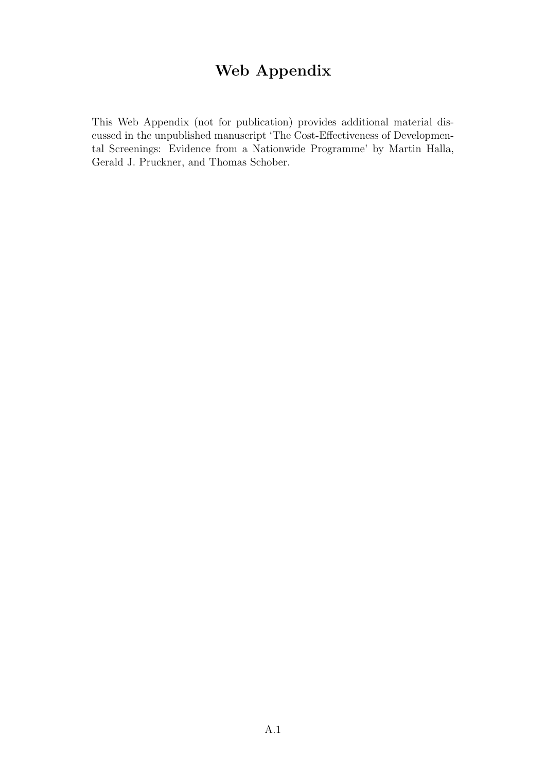# Web Appendix

This Web Appendix (not for publication) provides additional material discussed in the unpublished manuscript 'The Cost-Effectiveness of Developmental Screenings: Evidence from a Nationwide Programme' by Martin Halla, Gerald J. Pruckner, and Thomas Schober.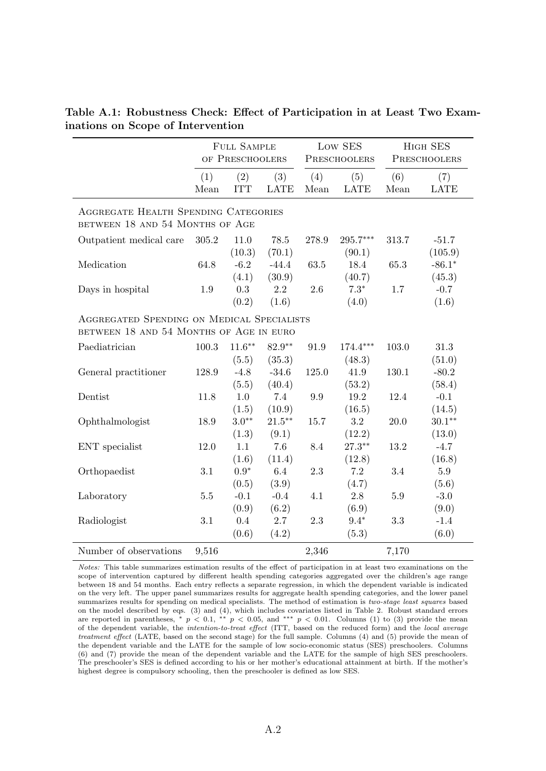|                                                                                       |             | <b>FULL SAMPLE</b><br>OF PRESCHOOLERS |                    |             | Low SES<br>PRESCHOOLERS |             | HIGH SES<br>PRESCHOOLERS |
|---------------------------------------------------------------------------------------|-------------|---------------------------------------|--------------------|-------------|-------------------------|-------------|--------------------------|
|                                                                                       | (1)<br>Mean | (2)<br><b>ITT</b>                     | (3)<br><b>LATE</b> | (4)<br>Mean | (5)<br><b>LATE</b>      | (6)<br>Mean | (7)<br><b>LATE</b>       |
| <b>AGGREGATE HEALTH SPENDING CATEGORIES</b><br>BETWEEN 18 AND 54 MONTHS OF AGE        |             |                                       |                    |             |                         |             |                          |
| Outpatient medical care                                                               | 305.2       | 11.0                                  | 78.5               | 278.9       | $295.7***$              | 313.7       | $-51.7$                  |
|                                                                                       |             | (10.3)                                | (70.1)             |             | (90.1)                  |             | (105.9)                  |
| Medication                                                                            | 64.8        | $-6.2$                                | $-44.4$            | 63.5        | 18.4                    | 65.3        | $-86.1*$                 |
|                                                                                       |             | (4.1)                                 | (30.9)             |             | (40.7)                  |             | (45.3)                   |
| Days in hospital                                                                      | 1.9         | 0.3                                   | 2.2                | 2.6         | $7.3*$                  | 1.7         | $-0.7$                   |
|                                                                                       |             | (0.2)                                 | (1.6)              |             | (4.0)                   |             | (1.6)                    |
| AGGREGATED SPENDING ON MEDICAL SPECIALISTS<br>BETWEEN 18 AND 54 MONTHS OF AGE IN EURO |             |                                       |                    |             |                         |             |                          |
| Paediatrician                                                                         | 100.3       | $11.6***$                             | 82.9**             | 91.9        | $174.4***$              | 103.0       | 31.3                     |
|                                                                                       |             | (5.5)                                 | (35.3)             |             | (48.3)                  |             | (51.0)                   |
| General practitioner                                                                  | 128.9       | $-4.8$                                | $-34.6$            | 125.0       | 41.9                    | 130.1       | $-80.2$                  |
|                                                                                       |             | (5.5)                                 | (40.4)             |             | (53.2)                  |             | (58.4)                   |
| Dentist                                                                               | 11.8        | 1.0                                   | 7.4                | 9.9         | 19.2                    | 12.4        | $-0.1$                   |
|                                                                                       |             | (1.5)                                 | (10.9)             |             | (16.5)                  |             | (14.5)                   |
| Ophthalmologist                                                                       | 18.9        | $3.0**$                               | $21.5***$          | 15.7        | 3.2                     | 20.0        | $30.1**$                 |
|                                                                                       |             | (1.3)                                 | (9.1)              |             | (12.2)                  |             | (13.0)                   |
| ENT specialist                                                                        | 12.0        | 1.1                                   | 7.6                | 8.4         | $27.3***$               | 13.2        | $-4.7$                   |
|                                                                                       |             | (1.6)                                 | (11.4)             |             | (12.8)                  |             | (16.8)                   |
| Orthopaedist                                                                          | 3.1         | $0.9*$                                | 6.4                | 2.3         | 7.2                     | 3.4         | 5.9                      |
|                                                                                       |             | (0.5)                                 | (3.9)              |             | (4.7)                   |             | (5.6)                    |
| Laboratory                                                                            | $5.5\,$     | $-0.1$                                | $-0.4$             | 4.1         | $2.8\,$                 | $5.9\,$     | $-3.0$                   |
|                                                                                       |             | (0.9)                                 | (6.2)              |             | (6.9)                   |             | (9.0)                    |
| Radiologist                                                                           | 3.1         | 0.4                                   | 2.7                | 2.3         | $9.4*$                  | 3.3         | $-1.4$                   |
|                                                                                       |             | (0.6)                                 | (4.2)              |             | (5.3)                   |             | (6.0)                    |
| Number of observations                                                                | 9,516       |                                       |                    | 2,346       |                         | 7,170       |                          |

Table A.1: Robustness Check: Effect of Participation in at Least Two Examinations on Scope of Intervention

Notes: This table summarizes estimation results of the effect of participation in at least two examinations on the scope of intervention captured by different health spending categories aggregated over the children's age range between 18 and 54 months. Each entry reflects a separate regression, in which the dependent variable is indicated on the very left. The upper panel summarizes results for aggregate health spending categories, and the lower panel summarizes results for spending on medical specialists. The method of estimation is two-stage least squares based on the model described by eqs. (3) and (4), which includes covariates listed in Table 2. Robust standard errors are reported in parentheses,  $* p < 0.1$ ,  $** p < 0.05$ , and  $*** p < 0.01$ . Columns (1) to (3) provide the mean of the dependent variable, the intention-to-treat effect (ITT, based on the reduced form) and the local average treatment effect (LATE, based on the second stage) for the full sample. Columns (4) and (5) provide the mean of the dependent variable and the LATE for the sample of low socio-economic status (SES) preschoolers. Columns (6) and (7) provide the mean of the dependent variable and the LATE for the sample of high SES preschoolers. The preschooler's SES is defined according to his or her mother's educational attainment at birth. If the mother's highest degree is compulsory schooling, then the preschooler is defined as low SES.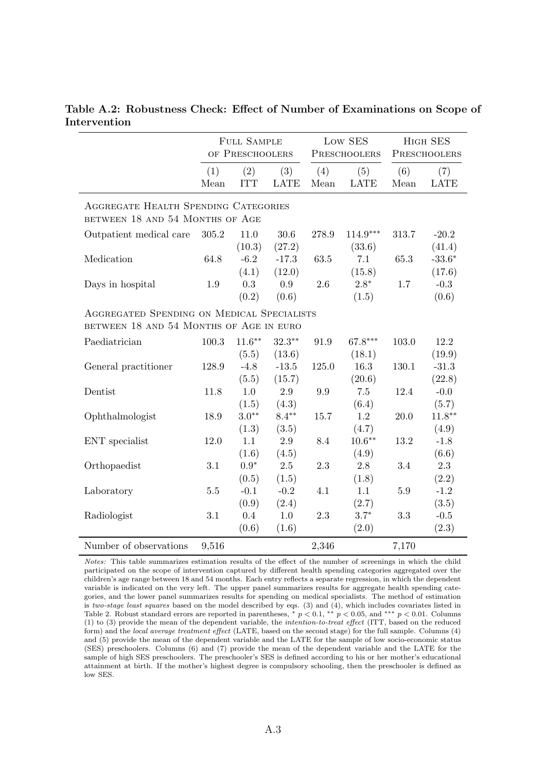|                                                                                       |             | <b>FULL SAMPLE</b><br>OF PRESCHOOLERS |                    |             | Low SES<br>PRESCHOOLERS |             | HIGH SES<br>PRESCHOOLERS |
|---------------------------------------------------------------------------------------|-------------|---------------------------------------|--------------------|-------------|-------------------------|-------------|--------------------------|
|                                                                                       | (1)<br>Mean | (2)<br><b>ITT</b>                     | (3)<br><b>LATE</b> | (4)<br>Mean | (5)<br><b>LATE</b>      | (6)<br>Mean | (7)<br><b>LATE</b>       |
| <b>AGGREGATE HEALTH SPENDING CATEGORIES</b><br>BETWEEN 18 AND 54 MONTHS OF AGE        |             |                                       |                    |             |                         |             |                          |
| Outpatient medical care                                                               | 305.2       | 11.0<br>(10.3)                        | 30.6<br>(27.2)     | 278.9       | $114.9***$<br>(33.6)    | 313.7       | $-20.2$<br>(41.4)        |
| Medication                                                                            | 64.8        | $-6.2$<br>(4.1)                       | $-17.3$<br>(12.0)  | 63.5        | 7.1<br>(15.8)           | 65.3        | $-33.6*$<br>(17.6)       |
| Days in hospital                                                                      | 1.9         | 0.3<br>(0.2)                          | 0.9<br>(0.6)       | 2.6         | $2.8*$<br>(1.5)         | 1.7         | $-0.3$<br>(0.6)          |
| AGGREGATED SPENDING ON MEDICAL SPECIALISTS<br>BETWEEN 18 AND 54 MONTHS OF AGE IN EURO |             |                                       |                    |             |                         |             |                          |
| Paediatrician                                                                         | 100.3       | $11.6***$<br>(5.5)                    | $32.3**$<br>(13.6) | 91.9        | 67.8***<br>(18.1)       | 103.0       | 12.2<br>(19.9)           |
| General practitioner                                                                  | 128.9       | $-4.8$<br>(5.5)                       | $-13.5$<br>(15.7)  | 125.0       | 16.3<br>(20.6)          | 130.1       | $-31.3$<br>(22.8)        |
| Dentist                                                                               | 11.8        | 1.0<br>(1.5)                          | 2.9<br>(4.3)       | 9.9         | 7.5<br>(6.4)            | 12.4        | $-0.0$<br>(5.7)          |
| Ophthalmologist                                                                       | 18.9        | $3.0**$<br>(1.3)                      | $8.4**$<br>(3.5)   | 15.7        | 1.2<br>(4.7)            | 20.0        | $11.8***$<br>(4.9)       |
| ENT specialist                                                                        | 12.0        | 1.1<br>(1.6)                          | 2.9<br>(4.5)       | 8.4         | $10.6***$<br>(4.9)      | 13.2        | $-1.8$<br>(6.6)          |
| Orthopaedist                                                                          | $3.1\,$     | $0.9*$<br>(0.5)                       | $2.5\,$<br>(1.5)   | $2.3\,$     | 2.8<br>(1.8)            | 3.4         | 2.3<br>(2.2)             |
| Laboratory                                                                            | 5.5         | $-0.1$<br>(0.9)                       | $-0.2$<br>(2.4)    | 4.1         | 1.1<br>(2.7)            | $5.9\,$     | $-1.2$<br>(3.5)          |
| Radiologist                                                                           | 3.1         | 0.4<br>(0.6)                          | 1.0<br>(1.6)       | 2.3         | $3.7*$<br>(2.0)         | 3.3         | $-0.5$<br>(2.3)          |
| Number of observations                                                                | 9,516       |                                       |                    | 2,346       |                         | 7,170       |                          |

Table A.2: Robustness Check: Effect of Number of Examinations on Scope of Intervention

Notes: This table summarizes estimation results of the effect of the number of screenings in which the child participated on the scope of intervention captured by different health spending categories aggregated over the children's age range between 18 and 54 months. Each entry reflects a separate regression, in which the dependent variable is indicated on the very left. The upper panel summarizes results for aggregate health spending categories, and the lower panel summarizes results for spending on medical specialists. The method of estimation is two-stage least squares based on the model described by eqs. (3) and (4), which includes covariates listed in Table 2. Robust standard errors are reported in parentheses,  $*$  p < 0.1,  $*$  p < 0.05, and \*\*\* p < 0.01. Columns  $(1)$  to  $(3)$  provide the mean of the dependent variable, the *intention-to-treat effect* (ITT, based on the reduced form) and the local average treatment effect (LATE, based on the second stage) for the full sample. Columns (4) and (5) provide the mean of the dependent variable and the LATE for the sample of low socio-economic status (SES) preschoolers. Columns (6) and (7) provide the mean of the dependent variable and the LATE for the sample of high SES preschoolers. The preschooler's SES is defined according to his or her mother's educational attainment at birth. If the mother's highest degree is compulsory schooling, then the preschooler is defined as low SES.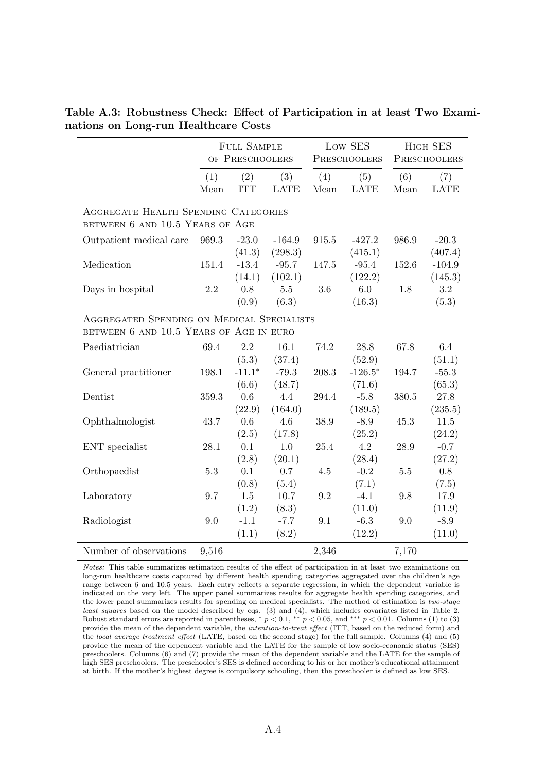|                                                                                       |             | <b>FULL SAMPLE</b><br>OF PRESCHOOLERS |                     |             | Low SES<br>PRESCHOOLERS |             | HIGH SES<br>PRESCHOOLERS |
|---------------------------------------------------------------------------------------|-------------|---------------------------------------|---------------------|-------------|-------------------------|-------------|--------------------------|
|                                                                                       | (1)<br>Mean | (2)<br><b>ITT</b>                     | (3)<br><b>LATE</b>  | (4)<br>Mean | (5)<br><b>LATE</b>      | (6)<br>Mean | (7)<br><b>LATE</b>       |
| <b>AGGREGATE HEALTH SPENDING CATEGORIES</b><br>BETWEEN 6 AND 10.5 YEARS OF AGE        |             |                                       |                     |             |                         |             |                          |
| Outpatient medical care                                                               | 969.3       | $-23.0$<br>(41.3)                     | $-164.9$<br>(298.3) | 915.5       | $-427.2$<br>(415.1)     | 986.9       | $-20.3$<br>(407.4)       |
| Medication                                                                            | 151.4       | $-13.4$<br>(14.1)                     | $-95.7$<br>(102.1)  | 147.5       | $-95.4$<br>(122.2)      | 152.6       | $-104.9$<br>(145.3)      |
| Days in hospital                                                                      | 2.2         | 0.8<br>(0.9)                          | $5.5\,$<br>(6.3)    | 3.6         | 6.0<br>(16.3)           | 1.8         | 3.2<br>(5.3)             |
| AGGREGATED SPENDING ON MEDICAL SPECIALISTS<br>BETWEEN 6 AND 10.5 YEARS OF AGE IN EURO |             |                                       |                     |             |                         |             |                          |
| Paediatrician                                                                         | 69.4        | $2.2\,$<br>(5.3)                      | 16.1<br>(37.4)      | 74.2        | 28.8<br>(52.9)          | 67.8        | 6.4<br>(51.1)            |
| General practitioner                                                                  | 198.1       | $-11.1*$<br>(6.6)                     | $-79.3$<br>(48.7)   | 208.3       | $-126.5*$<br>(71.6)     | 194.7       | $-55.3$<br>(65.3)        |
| Dentist                                                                               | 359.3       | 0.6<br>(22.9)                         | 4.4<br>(164.0)      | 294.4       | $-5.8$<br>(189.5)       | 380.5       | 27.8<br>(235.5)          |
| Ophthalmologist                                                                       | 43.7        | 0.6<br>(2.5)                          | 4.6<br>(17.8)       | 38.9        | $-8.9$<br>(25.2)        | 45.3        | 11.5<br>(24.2)           |
| ENT specialist                                                                        | 28.1        | 0.1<br>(2.8)                          | 1.0<br>(20.1)       | 25.4        | 4.2<br>(28.4)           | 28.9        | $-0.7$<br>(27.2)         |
| Orthopaedist                                                                          | $5.3\,$     | 0.1<br>(0.8)                          | 0.7<br>(5.4)        | 4.5         | $-0.2$<br>(7.1)         | 5.5         | 0.8<br>(7.5)             |
| Laboratory                                                                            | 9.7         | $1.5\,$<br>(1.2)                      | 10.7<br>(8.3)       | 9.2         | $-4.1$<br>(11.0)        | 9.8         | 17.9<br>(11.9)           |
| Radiologist                                                                           | 9.0         | $-1.1$<br>(1.1)                       | $-7.7$<br>(8.2)     | 9.1         | $-6.3$<br>(12.2)        | 9.0         | $-8.9$<br>(11.0)         |
| Number of observations                                                                | 9,516       |                                       |                     | 2,346       |                         | 7,170       |                          |

Table A.3: Robustness Check: Effect of Participation in at least Two Examinations on Long-run Healthcare Costs

Notes: This table summarizes estimation results of the effect of participation in at least two examinations on long-run healthcare costs captured by different health spending categories aggregated over the children's age range between 6 and 10.5 years. Each entry reflects a separate regression, in which the dependent variable is indicated on the very left. The upper panel summarizes results for aggregate health spending categories, and the lower panel summarizes results for spending on medical specialists. The method of estimation is two-stage least squares based on the model described by eqs. (3) and (4), which includes covariates listed in Table 2. Robust standard errors are reported in parentheses, \*  $p < 0.1$ , \*\*  $p < 0.05$ , and \*\*\*  $p < 0.01$ . Columns (1) to (3) provide the mean of the dependent variable, the intention-to-treat effect (ITT, based on the reduced form) and the local average treatment effect (LATE, based on the second stage) for the full sample. Columns (4) and (5) provide the mean of the dependent variable and the LATE for the sample of low socio-economic status (SES) preschoolers. Columns (6) and (7) provide the mean of the dependent variable and the LATE for the sample of high SES preschoolers. The preschooler's SES is defined according to his or her mother's educational attainment at birth. If the mother's highest degree is compulsory schooling, then the preschooler is defined as low SES.